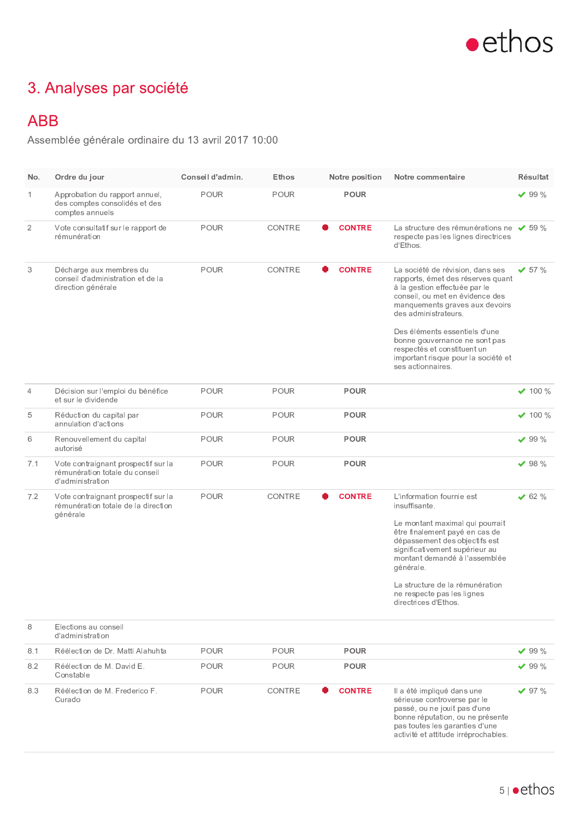

# 3. Analyses par société

#### **ABB**

Assemblée générale ordinaire du 13 avril 2017 10:00

| No.            | Ordre du jour                                                                             | Conseil d'admin. | Ethos       | Notre position     | Notre commentaire                                                                                                                                                                                                                                                                                                                                                | Résultat       |
|----------------|-------------------------------------------------------------------------------------------|------------------|-------------|--------------------|------------------------------------------------------------------------------------------------------------------------------------------------------------------------------------------------------------------------------------------------------------------------------------------------------------------------------------------------------------------|----------------|
| $\mathbf{1}$   | Approbation du rapport annuel,<br>des comptes consolidés et des<br>comptes annuels        | <b>POUR</b>      | <b>POUR</b> | <b>POUR</b>        |                                                                                                                                                                                                                                                                                                                                                                  | $\times$ 99 %  |
| $\overline{2}$ | Vote consultatif sur le rapport de<br>rémunération                                        | <b>POUR</b>      | CONTRE      | <b>CONTRE</b><br>۰ | La structure des rémunérations ne $\sqrt{59\%}$<br>respecte pas les lignes directrices<br>d'Ethos.                                                                                                                                                                                                                                                               |                |
| 3              | Décharge aux membres du<br>conseil d'administration et de la<br>direction générale        | <b>POUR</b>      | CONTRE      | <b>CONTRE</b>      | La société de révision, dans ses<br>rapports, émet des réserves quant<br>à la gestion effectuée par le<br>conseil, ou met en évidence des<br>manquements graves aux devoirs<br>des administrateurs.<br>Des éléments essentiels d'une<br>bonne gouvernance ne sont pas<br>respectés et constituent un<br>important risque pour la société et<br>ses actionnaires. | $\times$ 57 %  |
| $\overline{4}$ | Décision sur l'emploi du bénéfice<br>et sur le dividende                                  | <b>POUR</b>      | <b>POUR</b> | POUR               |                                                                                                                                                                                                                                                                                                                                                                  | $\times$ 100 % |
| 5              | Réduction du capital par<br>annulation d'actions                                          | <b>POUR</b>      | <b>POUR</b> | <b>POUR</b>        |                                                                                                                                                                                                                                                                                                                                                                  | $\vee$ 100 %   |
| 6              | Renouvellement du capital<br>autorisé                                                     | <b>POUR</b>      | <b>POUR</b> | <b>POUR</b>        |                                                                                                                                                                                                                                                                                                                                                                  | $\vee$ 99 %    |
| 7.1            | Vote contraignant prospectif sur la<br>rémunération totale du conseil<br>d'administration | <b>POUR</b>      | <b>POUR</b> | <b>POUR</b>        |                                                                                                                                                                                                                                                                                                                                                                  | $\times$ 98 %  |
| 7.2            | Vote contraignant prospectif sur la<br>rémunération totale de la direction<br>générale    | <b>POUR</b>      | CONTRE      | <b>CONTRE</b>      | L'information fournie est<br>insuffisante.<br>Le montant maximal qui pourrait<br>être finalement payé en cas de<br>dépassement des objectifs est<br>significativement supérieur au<br>montant demandé à l'assemblée<br>générale.<br>La structure de la rémunération<br>ne respecte pas les lignes<br>directrices d'Ethos.                                        | $\times$ 62 %  |
| 8              | Elections au conseil<br>d'administration                                                  |                  |             |                    |                                                                                                                                                                                                                                                                                                                                                                  |                |
| 8.1            | Réélection de Dr. Matti Alahuhta                                                          | <b>POUR</b>      | <b>POUR</b> | <b>POUR</b>        |                                                                                                                                                                                                                                                                                                                                                                  | $\vee$ 99 %    |
| 8.2            | Réélection de M. David E.<br>Constable                                                    | <b>POUR</b>      | <b>POUR</b> | <b>POUR</b>        |                                                                                                                                                                                                                                                                                                                                                                  | $\vee$ 99 %    |
| 8.3            | Réélection de M. Frederico F.<br>Curado                                                   | <b>POUR</b>      | CONTRE      | <b>CONTRE</b><br>۰ | Il a été impliqué dans une<br>sérieuse controverse par le<br>passé, ou ne jouit pas d'une<br>bonne réputation, ou ne présente<br>pas toutes les garanties d'une<br>activité et attitude irréprochables.                                                                                                                                                          | $\vee$ 97 %    |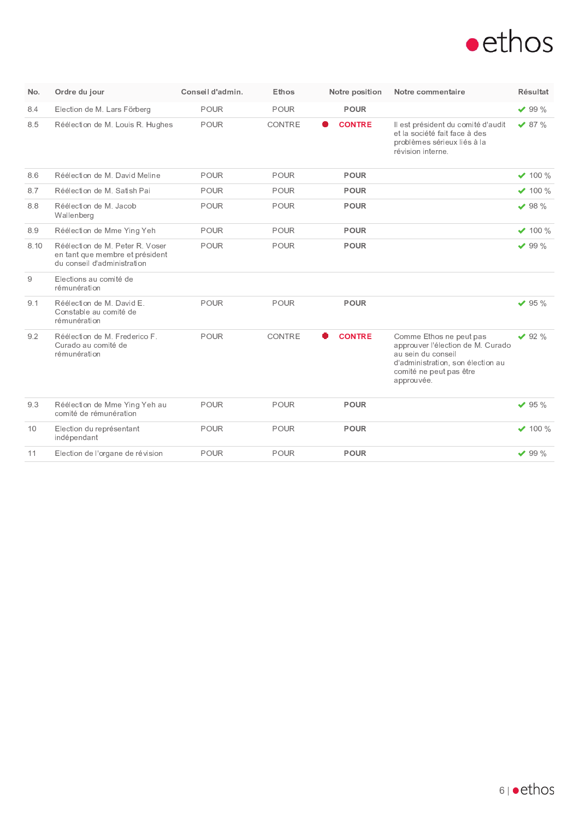

| No.   | Ordre du jour                                                                                     | Conseil d'admin. | <b>Ethos</b> | Notre position | Notre commentaire                                                                                                                                                | <b>Résultat</b> |
|-------|---------------------------------------------------------------------------------------------------|------------------|--------------|----------------|------------------------------------------------------------------------------------------------------------------------------------------------------------------|-----------------|
| 8.4   | Election de M. Lars Förberg                                                                       | <b>POUR</b>      | POUR         | <b>POUR</b>    |                                                                                                                                                                  | $\vee$ 99 %     |
| 8.5   | Réélection de M. Louis R. Hughes                                                                  | <b>POUR</b>      | CONTRE       | <b>CONTRE</b>  | Il est président du comité d'audit<br>et la société fait face à des<br>problèmes sérieux liés à la<br>révision interne.                                          | $\times$ 87 %   |
| 8.6   | Réélection de M. David Meline                                                                     | <b>POUR</b>      | POUR         | <b>POUR</b>    |                                                                                                                                                                  | $\times$ 100 %  |
| 8.7   | Réélection de M. Satish Pai                                                                       | <b>POUR</b>      | POUR         | <b>POUR</b>    |                                                                                                                                                                  | $\times$ 100 %  |
| 8.8   | Réélection de M. Jacob<br>Wallenberg                                                              | <b>POUR</b>      | POUR         | <b>POUR</b>    |                                                                                                                                                                  | $\times$ 98 %   |
| 8.9   | Réélection de Mme Ying Yeh                                                                        | <b>POUR</b>      | POUR         | <b>POUR</b>    |                                                                                                                                                                  | $\times$ 100 %  |
| 8.10  | Réélection de M. Peter R. Voser<br>en tant que membre et président<br>du conseil d'administration | <b>POUR</b>      | POUR         | <b>POUR</b>    |                                                                                                                                                                  | $\times$ 99 %   |
| $9\,$ | Elections au comité de<br>rémunération                                                            |                  |              |                |                                                                                                                                                                  |                 |
| 9.1   | Réélection de M. David E.<br>Constable au comité de<br>rémunération                               | <b>POUR</b>      | POUR         | <b>POUR</b>    |                                                                                                                                                                  | $\times$ 95 %   |
| 9.2   | Réélection de M. Frederico F.<br>Curado au comité de<br>rémunération                              | <b>POUR</b>      | CONTRE       | <b>CONTRE</b>  | Comme Ethos ne peut pas<br>approuver l'élection de M. Curado<br>au sein du conseil<br>d'administration, son élection au<br>comité ne peut pas être<br>approuvée. | $\times$ 92 %   |
| 9.3   | Réélection de Mme Ying Yeh au<br>comité de rémunération                                           | <b>POUR</b>      | POUR         | <b>POUR</b>    |                                                                                                                                                                  | $\vee$ 95 %     |
| 10    | Election du représentant<br>indépendant                                                           | <b>POUR</b>      | POUR         | <b>POUR</b>    |                                                                                                                                                                  | $\times$ 100 %  |
| 11    | Election de l'organe de révision                                                                  | <b>POUR</b>      | POUR         | <b>POUR</b>    |                                                                                                                                                                  | $\times$ 99 %   |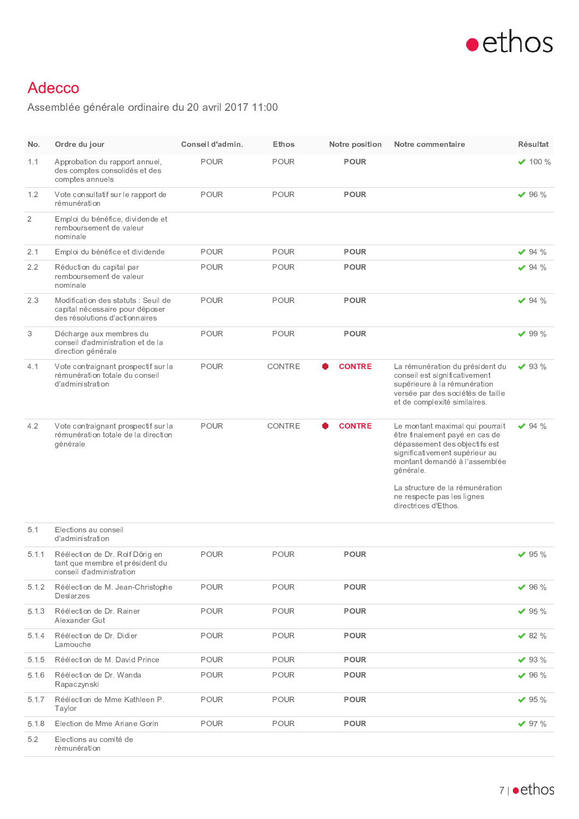

### Adecco

Assemblée générale ordinaire du 20 avril 2017 11:00

| No.            | Ordre du jour                                                                                            | Conseil d'admin. | Ethos  | Notre position | Notre commentaire                                                                                                                                                                                                                                                           | <b>Résultat</b> |
|----------------|----------------------------------------------------------------------------------------------------------|------------------|--------|----------------|-----------------------------------------------------------------------------------------------------------------------------------------------------------------------------------------------------------------------------------------------------------------------------|-----------------|
| 1.1            | Approbation du rapport annuel,<br>des comptes consolidés et des<br>comptes annuels                       | <b>POUR</b>      | POUR   | <b>POUR</b>    |                                                                                                                                                                                                                                                                             | $\vee$ 100 %    |
| 1.2            | Vote consultatif sur le rapport de<br>rémunération                                                       | POUR             | POUR   | <b>POUR</b>    |                                                                                                                                                                                                                                                                             | $\vee$ 96 %     |
| $\overline{2}$ | Emploi du bénéfice, dividende et<br>remboursement de valeur<br>nominale                                  |                  |        |                |                                                                                                                                                                                                                                                                             |                 |
| 2.1            | Emploi du bénéfice et dividende                                                                          | <b>POUR</b>      | POUR   | <b>POUR</b>    |                                                                                                                                                                                                                                                                             | $\vee$ 94 %     |
| 2.2            | Réduction du capital par<br>remboursement de valeur<br>nominale                                          | <b>POUR</b>      | POUR   | <b>POUR</b>    |                                                                                                                                                                                                                                                                             | $\times$ 94 %   |
| 2.3            | Modification des statuts : Seuil de<br>capital nécessaire pour déposer<br>des résolutions d'actionnaires | POUR             | POUR   | <b>POUR</b>    |                                                                                                                                                                                                                                                                             | $\vee$ 94 %     |
| 3              | Décharge aux membres du<br>conseil d'administration et de la<br>direction générale                       | <b>POUR</b>      | POUR   | <b>POUR</b>    |                                                                                                                                                                                                                                                                             | $\vee$ 99 %     |
| 4.1            | Vote contraignant prospectif sur la<br>rémunération totale du conseil<br>d'administration                | <b>POUR</b>      | CONTRE | <b>CONTRE</b>  | La rémunération du président du<br>conseil est significativement<br>supérieure à la rémunération<br>versée par des sociétés de taille<br>et de complexité similaires.                                                                                                       | $\times$ 93 %   |
| 4.2            | Vote contraignant prospectif sur la<br>rémunération totale de la direction<br>générale                   | <b>POUR</b>      | CONTRE | <b>CONTRE</b>  | Le montant maximal qui pourrait<br>être finalement payé en cas de<br>dépassement des objectifs est<br>significativement supérieur au<br>montant demandé à l'assemblée<br>générale.<br>La structure de la rémunération<br>ne respecte pas les lignes<br>directrices d'Ethos. | $\vee$ 94 %     |
| 5.1            | Elections au conseil<br>d'administration                                                                 |                  |        |                |                                                                                                                                                                                                                                                                             |                 |
| 5.1.1          | Réélection de Dr. Rolf Dörig en<br>tant que membre et président du<br>conseil d'administration           | <b>POUR</b>      | POUR   | <b>POUR</b>    |                                                                                                                                                                                                                                                                             | $\vee$ 95 %     |
| 5.1.2          | Réélection de M. Jean-Christophe<br>Deslarzes                                                            | <b>POUR</b>      | POUR   | <b>POUR</b>    |                                                                                                                                                                                                                                                                             | $\vee$ 96 %     |
| 5.1.3          | Réélection de Dr. Rainer<br>Alexander Gut                                                                | POUR             | POUR   | <b>POUR</b>    |                                                                                                                                                                                                                                                                             | $\times$ 95 %   |
| 5.1.4          | Réélection de Dr. Didier<br>Lamouche                                                                     | <b>POUR</b>      | POUR   | <b>POUR</b>    |                                                                                                                                                                                                                                                                             | $\times$ 82 %   |
| 5.1.5          | Réélection de M. David Prince                                                                            | POUR             | POUR   | <b>POUR</b>    |                                                                                                                                                                                                                                                                             | $\times$ 93 %   |
| 5.1.6          | Réélection de Dr. Wanda<br>Rapaczynski                                                                   | <b>POUR</b>      | POUR   | <b>POUR</b>    |                                                                                                                                                                                                                                                                             | $\times$ 96 %   |
| 5.1.7          | Réélection de Mme Kathleen P.<br>Taylor                                                                  | <b>POUR</b>      | POUR   | <b>POUR</b>    |                                                                                                                                                                                                                                                                             | $\times$ 95 %   |
| 5.1.8          | Election de Mme Ariane Gorin                                                                             | <b>POUR</b>      | POUR   | <b>POUR</b>    |                                                                                                                                                                                                                                                                             | $\vee$ 97 %     |
| 5.2            | Elections au comité de<br>rémunération                                                                   |                  |        |                |                                                                                                                                                                                                                                                                             |                 |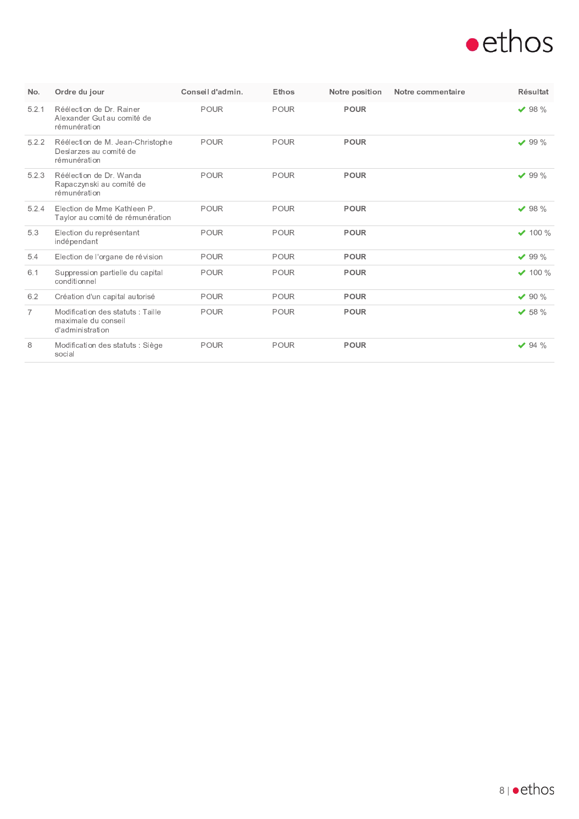

| No.   | Ordre du jour                                                                | Conseil d'admin. | Ethos | Notre position | Notre commentaire | <b>Résultat</b> |
|-------|------------------------------------------------------------------------------|------------------|-------|----------------|-------------------|-----------------|
| 5.2.1 | Réélection de Dr. Rainer<br>Alexander Gut au comité de<br>rémunération       | POUR             | POUR  | <b>POUR</b>    |                   | $\times$ 98 %   |
| 5.2.2 | Réélection de M. Jean-Christophe<br>Deslarzes au comité de<br>rémunération   | POUR             | POUR  | <b>POUR</b>    |                   | $\times$ 99 %   |
| 5.2.3 | Réélection de Dr. Wanda<br>Rapaczynski au comité de<br>rémunération          | POUR             | POUR  | <b>POUR</b>    |                   | $\times$ 99 %   |
| 5.2.4 | Election de Mme Kathleen P.<br>Taylor au comité de rémunération              | POUR             | POUR  | <b>POUR</b>    |                   | $\times$ 98 %   |
| 5.3   | Election du représentant<br>indépendant                                      | POUR             | POUR  | <b>POUR</b>    |                   | $\times$ 100 %  |
| 5.4   | Election de l'organe de révision                                             | <b>POUR</b>      | POUR  | <b>POUR</b>    |                   | $\vee$ 99 %     |
| 6.1   | Suppression partielle du capital<br>conditionnel                             | POUR             | POUR  | <b>POUR</b>    |                   | $\vee$ 100 %    |
| 6.2   | Création d'un capital autorisé                                               | POUR             | POUR  | <b>POUR</b>    |                   | $\vee$ 90 %     |
| 7     | Modification des statuts : Taille<br>maximale du conseil<br>d'administration | <b>POUR</b>      | POUR  | <b>POUR</b>    |                   | $\times$ 58 %   |
| 8     | Modification des statuts : Siège<br>social                                   | <b>POUR</b>      | POUR  | <b>POUR</b>    |                   | $\vee$ 94 %     |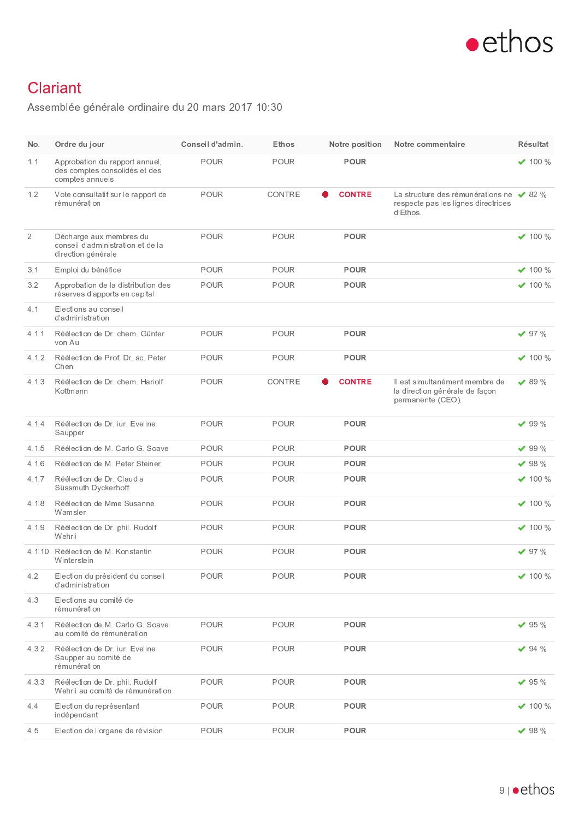

# Clariant

Assemblée générale ordinaire du 20 mars 2017 10:30

| No.            | Ordre du jour                                                                      | Conseil d'admin. | Ethos       | Notre position | Notre commentaire                                                                                  | Résultat       |
|----------------|------------------------------------------------------------------------------------|------------------|-------------|----------------|----------------------------------------------------------------------------------------------------|----------------|
| 1.1            | Approbation du rapport annuel,<br>des comptes consolidés et des<br>comptes annuels | <b>POUR</b>      | <b>POUR</b> | <b>POUR</b>    |                                                                                                    | $\times$ 100 % |
| 1.2            | Vote consultatif sur le rapport de<br>rémunération                                 | <b>POUR</b>      | CONTRE      | <b>CONTRE</b>  | La structure des rémunérations ne $\sqrt{82\%}$<br>respecte pas les lignes directrices<br>d'Ethos. |                |
| $\overline{2}$ | Décharge aux membres du<br>conseil d'administration et de la<br>direction générale | <b>POUR</b>      | POUR        | <b>POUR</b>    |                                                                                                    | $\times$ 100 % |
| 3.1            | Emploi du bénéfice                                                                 | POUR             | <b>POUR</b> | <b>POUR</b>    |                                                                                                    | $\times$ 100 % |
| 3.2            | Approbation de la distribution des<br>réserves d'apports en capital                | <b>POUR</b>      | <b>POUR</b> | <b>POUR</b>    |                                                                                                    | $\times$ 100 % |
| 4.1            | Elections au conseil<br>d'administration                                           |                  |             |                |                                                                                                    |                |
| 4.1.1          | Réélection de Dr. chem. Günter<br>von Au                                           | <b>POUR</b>      | POUR        | <b>POUR</b>    |                                                                                                    | $\vee$ 97 %    |
| 4.1.2          | Réélection de Prof. Dr. sc. Peter<br>Chen                                          | <b>POUR</b>      | <b>POUR</b> | <b>POUR</b>    |                                                                                                    | $\vee$ 100 %   |
| 4.1.3          | Réélection de Dr. chem. Hariolf<br>Kottmann                                        | <b>POUR</b>      | CONTRE      | <b>CONTRE</b>  | Il est simultanément membre de<br>la direction générale de façon<br>permanente (CEO).              | $\times$ 89 %  |
| 4.1.4          | Réélection de Dr. iur. Eveline<br>Saupper                                          | <b>POUR</b>      | <b>POUR</b> | <b>POUR</b>    |                                                                                                    | $\times$ 99 %  |
| 4.1.5          | Réélection de M. Carlo G. Soave                                                    | <b>POUR</b>      | <b>POUR</b> | <b>POUR</b>    |                                                                                                    | $\vee$ 99 %    |
| 4.1.6          | Réélection de M. Peter Steiner                                                     | <b>POUR</b>      | <b>POUR</b> | <b>POUR</b>    |                                                                                                    | $\vee$ 98 %    |
| 4.1.7          | Réélection de Dr. Claudia<br>Süssmuth Dyckerhoff                                   | <b>POUR</b>      | <b>POUR</b> | <b>POUR</b>    |                                                                                                    | $\times$ 100 % |
| 4.1.8          | Réélection de Mme Susanne<br>Wamsler                                               | <b>POUR</b>      | POUR        | <b>POUR</b>    |                                                                                                    | $\vee$ 100 %   |
| 4.1.9          | Réélection de Dr. phil. Rudolf<br>Wehrli                                           | <b>POUR</b>      | <b>POUR</b> | <b>POUR</b>    |                                                                                                    | $\vee$ 100 %   |
|                | 4.1.10 Réélection de M. Konstantin<br>Winterstein                                  | POUR             | <b>POUR</b> | <b>POUR</b>    |                                                                                                    | $\vee$ 97 %    |
| 4.2            | Election du président du conseil<br>d'administration                               | POUR             | POUR        | <b>POUR</b>    |                                                                                                    | $\times$ 100 % |
| 4.3            | Elections au comité de<br>rémunération                                             |                  |             |                |                                                                                                    |                |
| 4.3.1          | Réélection de M. Carlo G. Soave<br>au comité de rémunération                       | POUR             | POUR        | <b>POUR</b>    |                                                                                                    | $\times$ 95 %  |
| 4.3.2          | Réélection de Dr. iur. Eveline<br>Saupper au comité de<br>rémunération             | POUR             | POUR        | <b>POUR</b>    |                                                                                                    | $\times$ 94 %  |
| 4.3.3          | Réélection de Dr. phil. Rudolf<br>Wehrli au comité de rémunération                 | <b>POUR</b>      | <b>POUR</b> | <b>POUR</b>    |                                                                                                    | $\times$ 95 %  |
| 4.4            | Election du représentant<br>indépendant                                            | POUR             | POUR        | <b>POUR</b>    |                                                                                                    | $\times$ 100 % |
| 4.5            | Election de l'organe de révision                                                   | POUR             | POUR        | <b>POUR</b>    |                                                                                                    | $\times$ 98 %  |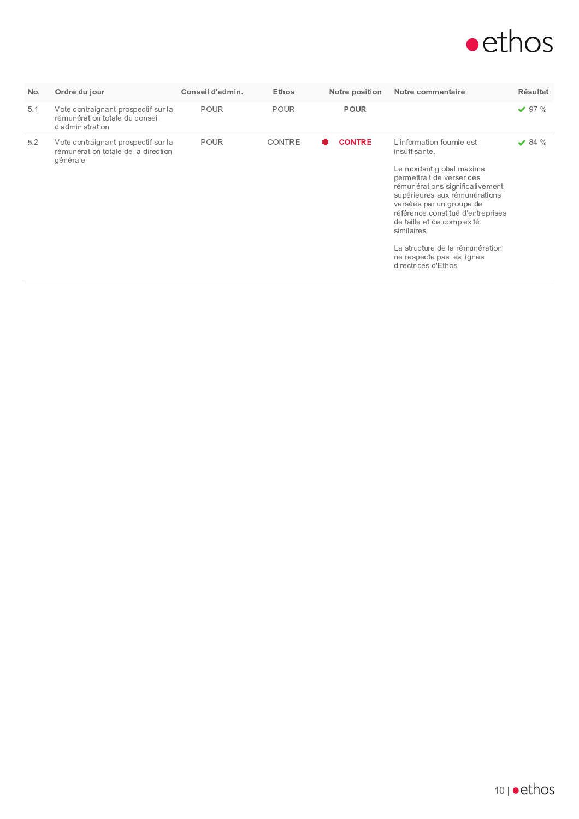

| No. | Ordre du jour                                                                             | Conseil d'admin. | Ethos       | Notre position | Notre commentaire                                                                                                                                                                                                                                                                                                                                                               | <b>Résultat</b> |
|-----|-------------------------------------------------------------------------------------------|------------------|-------------|----------------|---------------------------------------------------------------------------------------------------------------------------------------------------------------------------------------------------------------------------------------------------------------------------------------------------------------------------------------------------------------------------------|-----------------|
| 5.1 | Vote contraignant prospectif sur la<br>rémunération totale du conseil<br>d'administration | <b>POUR</b>      | <b>POUR</b> | <b>POUR</b>    |                                                                                                                                                                                                                                                                                                                                                                                 | $\vee$ 97 %     |
| 5.2 | Vote contraignant prospectif sur la<br>rémunération totale de la direction<br>générale    | <b>POUR</b>      | CONTRE      | <b>CONTRE</b>  | L'information fournie est<br>insuffisante.<br>Le montant global maximal<br>permettrait de verser des<br>rémunérations significativement<br>supérieures aux rémunérations<br>versées par un groupe de<br>référence constitué d'entreprises<br>de taille et de complexité<br>similaires.<br>La structure de la rémunération<br>ne respecte pas les lignes<br>directrices d'Ethos. | $\vee$ 84 %     |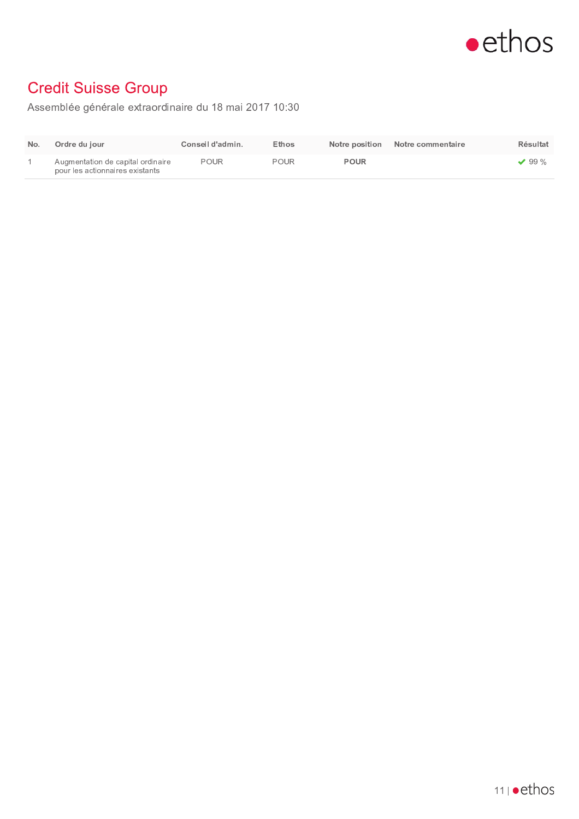

#### **Credit Suisse Group**

Assemblée générale extraordinaire du 18 mai 2017 10:30

| No. | Ordre du jour                                                        | Conseil d'admin. | Ethos       |             | Notre position Notre commentaire | Résultat    |
|-----|----------------------------------------------------------------------|------------------|-------------|-------------|----------------------------------|-------------|
|     | Augmentation de capital ordinaire<br>pour les actionnaires existants | <b>POUR</b>      | <b>POUR</b> | <b>POUR</b> |                                  | $\vee$ 99 % |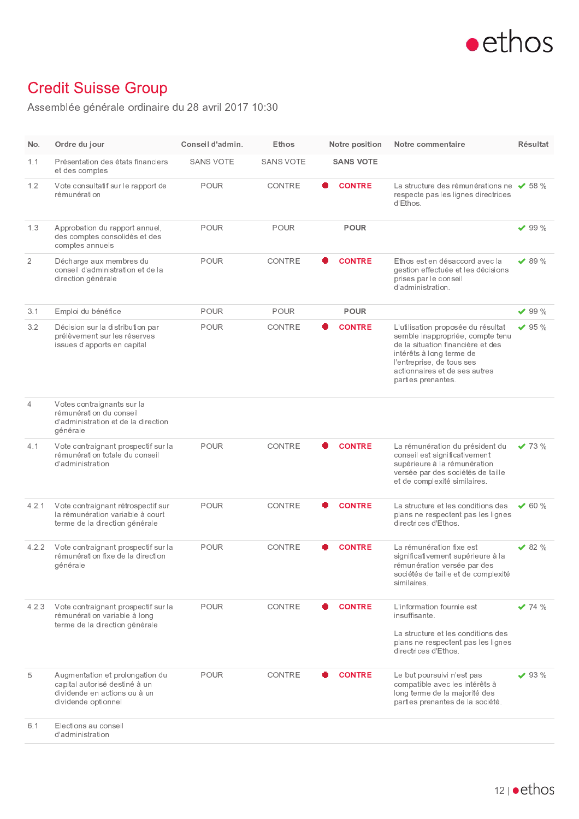

### **Credit Suisse Group**

Assemblée générale ordinaire du 28 avril 2017 10:30

| No.            | Ordre du jour                                                                                                           | Conseil d'admin. | Ethos            | Notre position   | Notre commentaire                                                                                                                                                                                                           | Résultat      |
|----------------|-------------------------------------------------------------------------------------------------------------------------|------------------|------------------|------------------|-----------------------------------------------------------------------------------------------------------------------------------------------------------------------------------------------------------------------------|---------------|
| 1.1            | Présentation des états financiers<br>et des comptes                                                                     | <b>SANS VOTE</b> | <b>SANS VOTE</b> | <b>SANS VOTE</b> |                                                                                                                                                                                                                             |               |
| 1.2            | Vote consultatif sur le rapport de<br>rémunération                                                                      | <b>POUR</b>      | CONTRE           | <b>CONTRE</b>    | La structure des rémunérations ne $\sqrt{58\%}$<br>respecte pas les lignes directrices<br>d'Ethos.                                                                                                                          |               |
| 1.3            | Approbation du rapport annuel,<br>des comptes consolidés et des<br>comptes annuels                                      | <b>POUR</b>      | POUR             | <b>POUR</b>      |                                                                                                                                                                                                                             | $\vee$ 99 %   |
| $\overline{2}$ | Décharge aux membres du<br>conseil d'administration et de la<br>direction générale                                      | <b>POUR</b>      | CONTRE           | <b>CONTRE</b>    | Ethos est en désaccord avec la<br>gestion effectuée et les décisions<br>prises par le conseil<br>d'administration.                                                                                                          | $\times$ 89 % |
| 3.1            | Emploi du bénéfice                                                                                                      | <b>POUR</b>      | POUR             | <b>POUR</b>      |                                                                                                                                                                                                                             | $\vee$ 99 %   |
| 3.2            | Décision sur la distribution par<br>prélèvement sur les réserves<br>issues d'apports en capital                         | <b>POUR</b>      | CONTRE           | <b>CONTRE</b>    | L'utilisation proposée du résultat<br>semble inappropriée, compte tenu<br>de la situation financière et des<br>intérêts à long terme de<br>l'entreprise, de tous ses<br>actionnaires et de ses autres<br>parties prenantes. | $\times$ 95 % |
| $\overline{4}$ | Votes contraignants sur la<br>rémunération du conseil<br>d'administration et de la direction<br>générale                |                  |                  |                  |                                                                                                                                                                                                                             |               |
| 4.1            | Vote contraignant prospectif sur la<br>rémunération totale du conseil<br>d'administration                               | <b>POUR</b>      | CONTRE           | <b>CONTRE</b>    | La rémunération du président du<br>conseil est significativement<br>supérieure à la rémunération<br>versée par des sociétés de taille<br>et de complexité similaires.                                                       | $\times$ 73 % |
| 4.2.1          | Vote contraignant rétrospectif sur<br>la rémunération variable à court<br>terme de la direction générale                | <b>POUR</b>      | CONTRE           | <b>CONTRE</b>    | La structure et les conditions des<br>plans ne respectent pas les lignes<br>directrices d'Ethos.                                                                                                                            | $\times$ 60 % |
| 4.2.2          | Vote contraignant prospectif sur la<br>rémunération fixe de la direction<br>générale                                    | <b>POUR</b>      | CONTRE           | <b>CONTRE</b>    | La rémunération fixe est<br>significativement supérieure à la<br>rémunération versée par des<br>sociétés de taille et de complexité<br>similaires.                                                                          | $\times$ 82 % |
| 4.2.3          | Vote contraignant prospectif sur la<br>rémunération variable à long<br>terme de la direction générale                   | <b>POUR</b>      | CONTRE           | <b>CONTRE</b>    | L'information fournie est<br>insuffisante.<br>La structure et les conditions des<br>plans ne respectent pas les lignes<br>directrices d'Ethos.                                                                              | $\times$ 74 % |
| 5              | Augmentation et prolongation du<br>capital autorisé destiné à un<br>dividende en actions ou à un<br>dividende optionnel | <b>POUR</b>      | CONTRE           | <b>CONTRE</b>    | Le but poursuivi n'est pas<br>compatible avec les intérêts à<br>long terme de la majorité des<br>parties prenantes de la société.                                                                                           | $\vee$ 93 %   |
| 6.1            | Elections au conseil<br>d'administration                                                                                |                  |                  |                  |                                                                                                                                                                                                                             |               |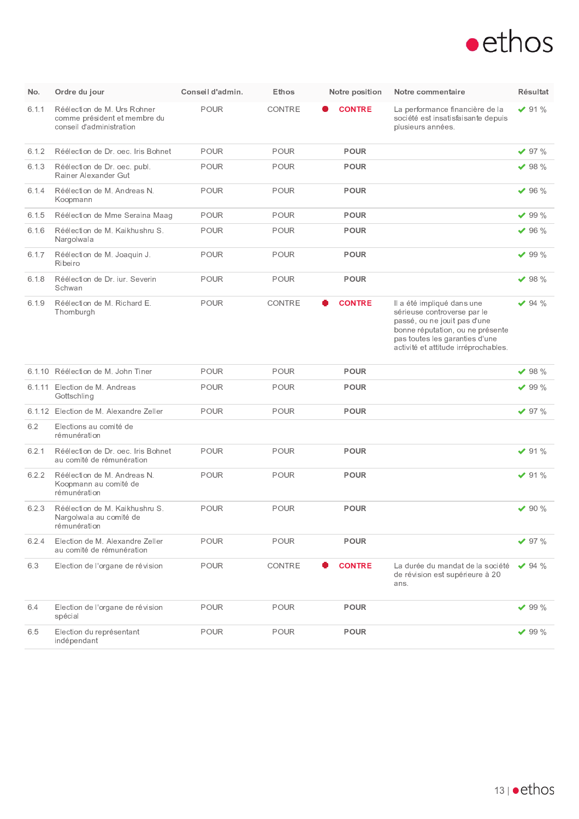

| No.   | Ordre du jour                                                                           | Conseil d'admin. | Ethos  | Notre position | Notre commentaire                                                                                                                                                                                       | Résultat      |
|-------|-----------------------------------------------------------------------------------------|------------------|--------|----------------|---------------------------------------------------------------------------------------------------------------------------------------------------------------------------------------------------------|---------------|
| 6.1.1 | Réélection de M. Urs Rohner<br>comme président et membre du<br>conseil d'administration | POUR             | CONTRE | <b>CONTRE</b>  | La performance financière de la<br>société est insatisfaisante depuis<br>plusieurs années.                                                                                                              | $\times$ 91 % |
| 6.1.2 | Réélection de Dr. oec. Iris Bohnet                                                      | <b>POUR</b>      | POUR   | <b>POUR</b>    |                                                                                                                                                                                                         | $\times$ 97 % |
| 6.1.3 | Réélection de Dr. oec. publ.<br>Rainer Alexander Gut                                    | <b>POUR</b>      | POUR   | <b>POUR</b>    |                                                                                                                                                                                                         | $\times$ 98 % |
| 6.1.4 | Réélection de M. Andreas N.<br>Koopmann                                                 | <b>POUR</b>      | POUR   | <b>POUR</b>    |                                                                                                                                                                                                         | $\times$ 96 % |
| 6.1.5 | Réélection de Mme Seraina Maag                                                          | <b>POUR</b>      | POUR   | <b>POUR</b>    |                                                                                                                                                                                                         | $\vee$ 99 %   |
| 6.1.6 | Réélection de M. Kaikhushru S.<br>Nargolwala                                            | POUR             | POUR   | <b>POUR</b>    |                                                                                                                                                                                                         | $\times$ 96 % |
| 6.1.7 | Réélection de M. Joaquin J.<br>Ribeiro                                                  | <b>POUR</b>      | POUR   | <b>POUR</b>    |                                                                                                                                                                                                         | $\times$ 99 % |
| 6.1.8 | Réélection de Dr. iur. Severin<br>Schwan                                                | <b>POUR</b>      | POUR   | <b>POUR</b>    |                                                                                                                                                                                                         | $\times$ 98 % |
| 6.1.9 | Réélection de M. Richard E.<br>Thornburgh                                               | <b>POUR</b>      | CONTRE | <b>CONTRE</b>  | Il a été impliqué dans une<br>sérieuse controverse par le<br>passé, ou ne jouit pas d'une<br>bonne réputation, ou ne présente<br>pas toutes les garanties d'une<br>activité et attitude irréprochables. | $\vee$ 94 %   |
|       | 6.1.10 Réélection de M. John Tiner                                                      | POUR             | POUR   | <b>POUR</b>    |                                                                                                                                                                                                         | $\times$ 98 % |
|       | 6.1.11 Election de M. Andreas<br>Gottschling                                            | <b>POUR</b>      | POUR   | <b>POUR</b>    |                                                                                                                                                                                                         | $\vee$ 99 %   |
|       | 6.1.12 Election de M. Alexandre Zeller                                                  | <b>POUR</b>      | POUR   | <b>POUR</b>    |                                                                                                                                                                                                         | $\times$ 97 % |
| 6.2   | Elections au comité de<br>rémunération                                                  |                  |        |                |                                                                                                                                                                                                         |               |
| 6.2.1 | Réélection de Dr. oec. Iris Bohnet<br>au comité de rémunération                         | <b>POUR</b>      | POUR   | <b>POUR</b>    |                                                                                                                                                                                                         | $\times$ 91 % |
| 6.2.2 | Réélection de M. Andreas N.<br>Koopmann au comité de<br>rémunération                    | <b>POUR</b>      | POUR   | <b>POUR</b>    |                                                                                                                                                                                                         | $\times$ 91 % |
| 6.2.3 | Réélection de M. Kaikhushru S.<br>Nargolwala au comité de<br>rémunération               | <b>POUR</b>      | POUR   | <b>POUR</b>    |                                                                                                                                                                                                         | $\vee$ 90 %   |
| 6.2.4 | Election de M. Alexandre Zeller<br>au comité de rémunération                            | <b>POUR</b>      | POUR   | <b>POUR</b>    |                                                                                                                                                                                                         | $\times$ 97 % |
| 6.3   | Election de l'organe de révision                                                        | <b>POUR</b>      | CONTRE | <b>CONTRE</b>  | La durée du mandat de la société<br>de révision est supérieure à 20<br>ans.                                                                                                                             | $\vee$ 94 %   |
| 6.4   | Election de l'organe de révision<br>spécial                                             | <b>POUR</b>      | POUR   | <b>POUR</b>    |                                                                                                                                                                                                         | $\times$ 99 % |
| 6.5   | Election du représentant<br>indépendant                                                 | <b>POUR</b>      | POUR   | <b>POUR</b>    |                                                                                                                                                                                                         | $\vee$ 99 %   |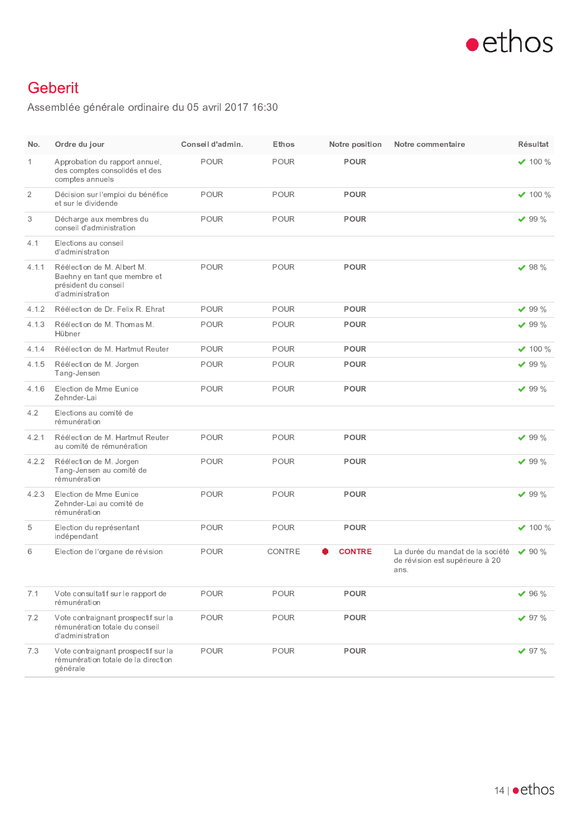

### Geberit

Assemblée générale ordinaire du 05 avril 2017 16:30

| No.            | Ordre du jour                                                                                          | Conseil d'admin. | Ethos  | Notre position | Notre commentaire                                                           | Résultat       |
|----------------|--------------------------------------------------------------------------------------------------------|------------------|--------|----------------|-----------------------------------------------------------------------------|----------------|
| $\mathbf 1$    | Approbation du rapport annuel,<br>des comptes consolidés et des<br>comptes annuels                     | <b>POUR</b>      | POUR   | POUR           |                                                                             | $\vee$ 100 %   |
| $\overline{2}$ | Décision sur l'emploi du bénéfice<br>et sur le dividende                                               | <b>POUR</b>      | POUR   | <b>POUR</b>    |                                                                             | $\times$ 100 % |
| 3              | Décharge aux membres du<br>conseil d'administration                                                    | POUR             | POUR   | <b>POUR</b>    |                                                                             | $\times$ 99 %  |
| 4.1            | Elections au conseil<br>d'administration                                                               |                  |        |                |                                                                             |                |
| 4.1.1          | Réélection de M. Albert M.<br>Baehny en tant que membre et<br>président du conseil<br>d'administration | POUR             | POUR   | <b>POUR</b>    |                                                                             | $\times$ 98 %  |
| 4.1.2          | Réélection de Dr. Felix R. Ehrat                                                                       | <b>POUR</b>      | POUR   | <b>POUR</b>    |                                                                             | $\times$ 99 %  |
| 4.1.3          | Réélection de M. Thomas M.<br>Hübner                                                                   | POUR             | POUR   | <b>POUR</b>    |                                                                             | $\vee$ 99 %    |
| 4.1.4          | Réélection de M. Hartmut Reuter                                                                        | <b>POUR</b>      | POUR   | <b>POUR</b>    |                                                                             | $\times$ 100 % |
| 4.1.5          | Réélection de M. Jorgen<br>Tang-Jensen                                                                 | <b>POUR</b>      | POUR   | <b>POUR</b>    |                                                                             | $\times$ 99 %  |
| 4.1.6          | Election de Mme Eunice<br>Zehnder-Lai                                                                  | <b>POUR</b>      | POUR   | <b>POUR</b>    |                                                                             | $\times$ 99 %  |
| 4.2            | Elections au comité de<br>rémunération                                                                 |                  |        |                |                                                                             |                |
| 4.2.1          | Réélection de M. Hartmut Reuter<br>au comité de rémunération                                           | <b>POUR</b>      | POUR   | <b>POUR</b>    |                                                                             | $\times$ 99 %  |
| 4.2.2          | Réélection de M. Jorgen<br>Tang-Jensen au comité de<br>rémunération                                    | <b>POUR</b>      | POUR   | <b>POUR</b>    |                                                                             | $\times$ 99 %  |
| 4.2.3          | Election de Mme Eunice<br>Zehnder-Lai au comité de<br>rémunération                                     | <b>POUR</b>      | POUR   | <b>POUR</b>    |                                                                             | $\times$ 99 %  |
| 5              | Election du représentant<br>indépendant                                                                | <b>POUR</b>      | POUR   | <b>POUR</b>    |                                                                             | $\times$ 100 % |
| 6              | Election de l'organe de révision                                                                       | POUR             | CONTRE | <b>CONTRE</b>  | La durée du mandat de la société<br>de révision est supérieure à 20<br>ans. | $\vee$ 90 %    |
| 7.1            | Vote consultatif sur le rapport de<br>rémunération                                                     | POUR             | POUR   | <b>POUR</b>    |                                                                             | $\times$ 96 %  |
| 7.2            | Vote contraignant prospectif sur la<br>rémunération totale du conseil<br>d'administration              | POUR             | POUR   | <b>POUR</b>    |                                                                             | $\times$ 97 %  |
| 7.3            | Vote contraignant prospectif sur la<br>rémunération totale de la direction<br>générale                 | POUR             | POUR   | <b>POUR</b>    |                                                                             | $\times$ 97 %  |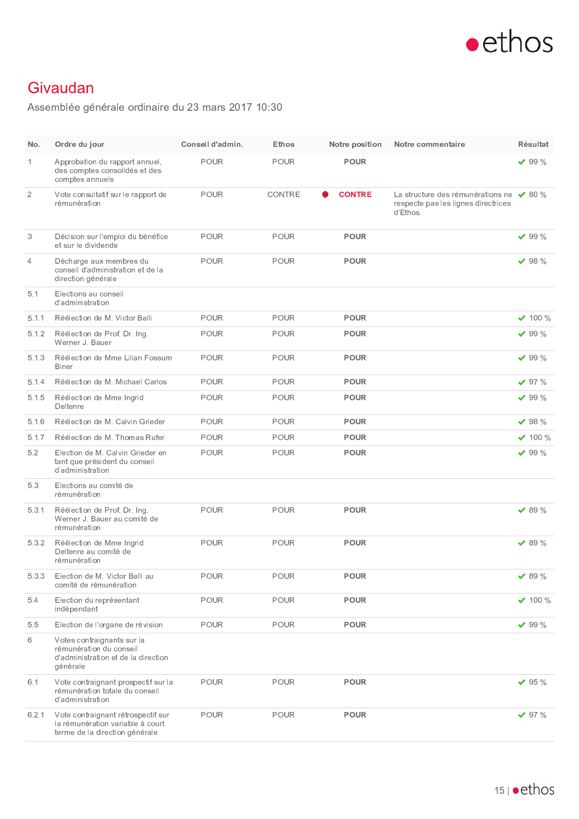

### Givaudan

Assemblée générale ordinaire du 23 mars 2017 10:30

| No.            | Ordre du jour                                                                                            | Conseil d'admin. | Ethos       | Notre position | Notre commentaire                                                                                  | Résultat       |
|----------------|----------------------------------------------------------------------------------------------------------|------------------|-------------|----------------|----------------------------------------------------------------------------------------------------|----------------|
| 1              | Approbation du rapport annuel,<br>des comptes consolidés et des<br>comptes annuels                       | <b>POUR</b>      | <b>POUR</b> | <b>POUR</b>    |                                                                                                    | $\vee$ 99 %    |
| $\overline{2}$ | Vote consultatif sur le rapport de<br>rémunération                                                       | POUR             | CONTRE      | <b>CONTRE</b>  | La structure des rémunérations ne $\sqrt{80\%}$<br>respecte pas les lignes directrices<br>d'Ethos. |                |
| 3              | Décision sur l'emploi du bénéfice<br>et sur le dividende                                                 | POUR             | POUR        | <b>POUR</b>    |                                                                                                    | $\times$ 99 %  |
| 4              | Décharge aux membres du<br>conseil d'administration et de la<br>direction générale                       | <b>POUR</b>      | POUR        | <b>POUR</b>    |                                                                                                    | $\vee$ 98 %    |
| 5.1            | Elections au conseil<br>d'administration                                                                 |                  |             |                |                                                                                                    |                |
| 5.1.1          | Réélection de M. Victor Balli                                                                            | <b>POUR</b>      | <b>POUR</b> | <b>POUR</b>    |                                                                                                    | $\times$ 100 % |
| 5.1.2          | Réélection de Prof. Dr. Ing.<br>Werner J. Bauer                                                          | <b>POUR</b>      | POUR        | <b>POUR</b>    |                                                                                                    | $\vee$ 99 %    |
| 5.1.3          | Réélection de Mme Lilian Fossum<br>Biner                                                                 | POUR             | <b>POUR</b> | <b>POUR</b>    |                                                                                                    | $\times$ 99 %  |
| 5.1.4          | Réélection de M. Michael Carlos                                                                          | POUR             | <b>POUR</b> | <b>POUR</b>    |                                                                                                    | $\times$ 97 %  |
| 5.1.5          | Réélection de Mme Ingrid<br>Deltenre                                                                     | <b>POUR</b>      | POUR        | <b>POUR</b>    |                                                                                                    | $\vee$ 99 %    |
| 5.1.6          | Réélection de M. Calvin Grieder                                                                          | <b>POUR</b>      | POUR        | <b>POUR</b>    |                                                                                                    | $\vee$ 98 %    |
| 5.1.7          | Réélection de M. Thomas Rufer                                                                            | <b>POUR</b>      | <b>POUR</b> | <b>POUR</b>    |                                                                                                    | $\times$ 100 % |
| 5.2            | Election de M. Calvin Grieder en<br>tant que président du conseil<br>d'administration                    | <b>POUR</b>      | <b>POUR</b> | <b>POUR</b>    |                                                                                                    | $\vee$ 99 %    |
| 5.3            | Elections au comité de<br>rémunération                                                                   |                  |             |                |                                                                                                    |                |
| 5.3.1          | Réélection de Prof. Dr. Ing.<br>Werner J. Bauer au comité de<br>rémunération                             | <b>POUR</b>      | <b>POUR</b> | <b>POUR</b>    |                                                                                                    | $\times$ 89 %  |
| 5.3.2          | Réélection de Mme Ingrid<br>Deltenre au comité de<br>rémunération                                        | <b>POUR</b>      | <b>POUR</b> | <b>POUR</b>    |                                                                                                    | $\times$ 89 %  |
| 5.3.3          | Election de M. Victor Balli au<br>comité de rémunération                                                 | POUR             | <b>POUR</b> | <b>POUR</b>    |                                                                                                    | $\times$ 89 %  |
| 5.4            | Election du représentant<br>indépendant                                                                  | POUR             | POUR        | <b>POUR</b>    |                                                                                                    | $\times$ 100 % |
| 5.5            | Election de l'organe de révision                                                                         | POUR             | POUR        | <b>POUR</b>    |                                                                                                    | $\times$ 99 %  |
| 6              | Votes contraignants sur la<br>rémunération du conseil<br>d'administration et de la direction<br>générale |                  |             |                |                                                                                                    |                |
| 6.1            | Vote contraignant prospectif sur la<br>rémunération totale du conseil<br>d'administration                | POUR             | POUR        | <b>POUR</b>    |                                                                                                    | $\times$ 95 %  |
| 6.2.1          | Vote contraignant rétrospectif sur<br>la rémunération variable à court<br>terme de la direction générale | <b>POUR</b>      | POUR        | <b>POUR</b>    |                                                                                                    | $\times$ 97 %  |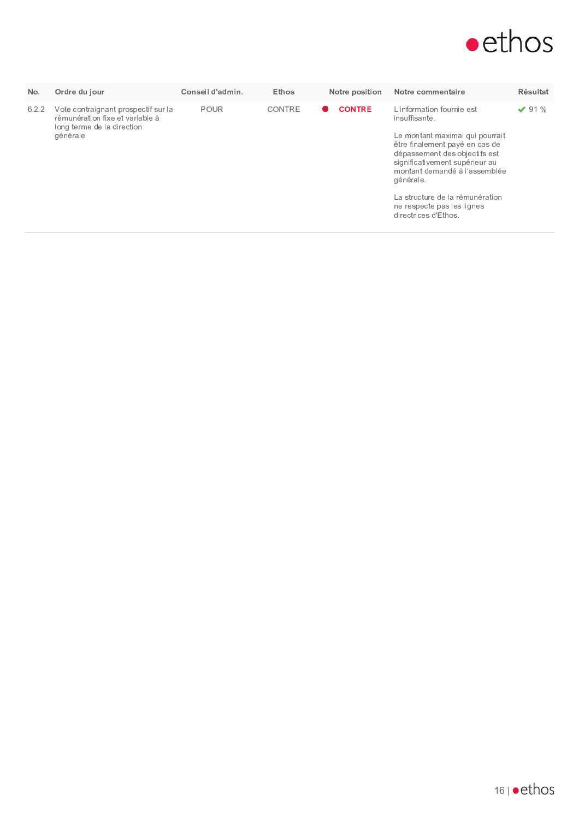

| No.   | Ordre du jour                                                                                                    | Conseil d'admin. | Ethos  | Notre position | Notre commentaire                                                                                                                               | <b>Résultat</b> |
|-------|------------------------------------------------------------------------------------------------------------------|------------------|--------|----------------|-------------------------------------------------------------------------------------------------------------------------------------------------|-----------------|
| 6.2.2 | Vote contraignant prospectif sur la<br>rémunération fixe et variable à<br>long terme de la direction<br>générale | <b>POUR</b>      | CONTRE | <b>CONTRE</b>  | L'information fournie est<br>insuffisante.<br>Le montant maximal qui pourrait                                                                   | $\vee$ 91 %     |
|       |                                                                                                                  |                  |        |                | être finalement payé en cas de<br>dépassement des objectifs est<br>significativement supérieur au<br>montant demandé à l'assemblée<br>générale. |                 |
|       |                                                                                                                  |                  |        |                | La structure de la rémunération<br>ne respecte pas les lignes<br>directrices d'Ethos.                                                           |                 |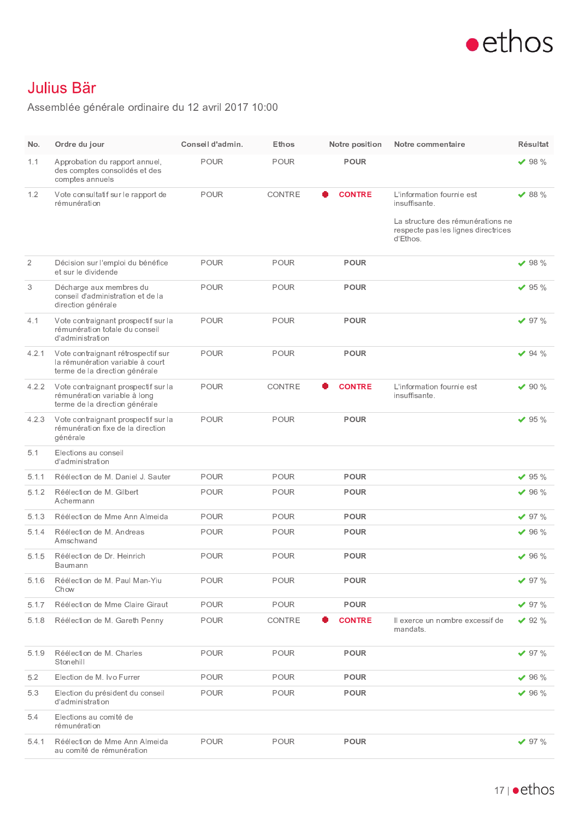

# Julius Bär

Assemblée générale ordinaire du 12 avril 2017 10:00

| No.            | Ordre du jour                                                                                            | Conseil d'admin. | Ethos         | Notre position | Notre commentaire                                                                                                                  | Résultat      |
|----------------|----------------------------------------------------------------------------------------------------------|------------------|---------------|----------------|------------------------------------------------------------------------------------------------------------------------------------|---------------|
| 1.1            | Approbation du rapport annuel,<br>des comptes consolidés et des<br>comptes annuels                       | <b>POUR</b>      | <b>POUR</b>   | <b>POUR</b>    |                                                                                                                                    | $\vee$ 98 %   |
| 1.2            | Vote consultatif sur le rapport de<br>rémunération                                                       | <b>POUR</b>      | <b>CONTRE</b> | <b>CONTRE</b>  | L'information fournie est<br>insuffisante.<br>La structure des rémunérations ne<br>respecte pas les lignes directrices<br>d'Ethos. | $\vee$ 88 %   |
| $\overline{2}$ | Décision sur l'emploi du bénéfice<br>et sur le dividende                                                 | POUR             | <b>POUR</b>   | <b>POUR</b>    |                                                                                                                                    | $\times$ 98 % |
| 3              | Décharge aux membres du<br>conseil d'administration et de la<br>direction générale                       | POUR             | <b>POUR</b>   | <b>POUR</b>    |                                                                                                                                    | $\vee$ 95 %   |
| 4.1            | Vote contraignant prospectif sur la<br>rémunération totale du conseil<br>d'administration                | <b>POUR</b>      | <b>POUR</b>   | <b>POUR</b>    |                                                                                                                                    | $\vee$ 97 %   |
| 4.2.1          | Vote contraignant rétrospectif sur<br>la rémunération variable à court<br>terme de la direction générale | <b>POUR</b>      | <b>POUR</b>   | <b>POUR</b>    |                                                                                                                                    | $\vee$ 94 %   |
| 4.2.2          | Vote contraignant prospectif sur la<br>rémunération variable à long<br>terme de la direction générale    | <b>POUR</b>      | CONTRE        | <b>CONTRE</b>  | L'information fournie est<br>insuffisante.                                                                                         | $\vee$ 90 %   |
| 4.2.3          | Vote contraignant prospectif sur la<br>rémunération fixe de la direction<br>générale                     | <b>POUR</b>      | POUR          | <b>POUR</b>    |                                                                                                                                    | $\times$ 95 % |
| 5.1            | Elections au conseil<br>d'administration                                                                 |                  |               |                |                                                                                                                                    |               |
| 5.1.1          | Réélection de M. Daniel J. Sauter                                                                        | <b>POUR</b>      | <b>POUR</b>   | <b>POUR</b>    |                                                                                                                                    | $\times$ 95 % |
| 5.1.2          | Réélection de M. Gilbert<br>Achermann                                                                    | <b>POUR</b>      | POUR          | <b>POUR</b>    |                                                                                                                                    | $\vee$ 96 %   |
| 5.1.3          | Réélection de Mme Ann Almeida                                                                            | <b>POUR</b>      | <b>POUR</b>   | <b>POUR</b>    |                                                                                                                                    | $\times$ 97 % |
| 5.1.4          | Réélection de M. Andreas<br>Amschwand                                                                    | <b>POUR</b>      | POUR          | <b>POUR</b>    |                                                                                                                                    | $\vee$ 96 %   |
| 5.1.5          | Réélection de Dr. Heinrich<br>Baumann                                                                    | <b>POUR</b>      | <b>POUR</b>   | <b>POUR</b>    |                                                                                                                                    | $\vee$ 96 %   |
| 5.1.6          | Réélection de M. Paul Man-Yiu<br>Chow                                                                    | <b>POUR</b>      | POUR          | <b>POUR</b>    |                                                                                                                                    | $\vee$ 97 %   |
| 5.1.7          | Réélection de Mme Claire Giraut                                                                          | <b>POUR</b>      | POUR          | <b>POUR</b>    |                                                                                                                                    | $\times$ 97 % |
| 5.1.8          | Réélection de M. Gareth Penny                                                                            | <b>POUR</b>      | CONTRE        | <b>CONTRE</b>  | Il exerce un nombre excessif de<br>mandats.                                                                                        | $\times$ 92 % |
| 5.1.9          | Réélection de M. Charles<br>Stonehill                                                                    | <b>POUR</b>      | POUR          | <b>POUR</b>    |                                                                                                                                    | $\vee$ 97 %   |
| 5.2            | Election de M. Ivo Furrer                                                                                | <b>POUR</b>      | POUR          | <b>POUR</b>    |                                                                                                                                    | $\times$ 96 % |
| 5.3            | Election du président du conseil<br>d'administration                                                     | POUR             | POUR          | <b>POUR</b>    |                                                                                                                                    | $\times$ 96 % |
| 5.4            | Elections au comité de<br>rémunération                                                                   |                  |               |                |                                                                                                                                    |               |
| 5.4.1          | Réélection de Mme Ann Almeida<br>au comité de rémunération                                               | POUR             | POUR          | <b>POUR</b>    |                                                                                                                                    | $\times$ 97 % |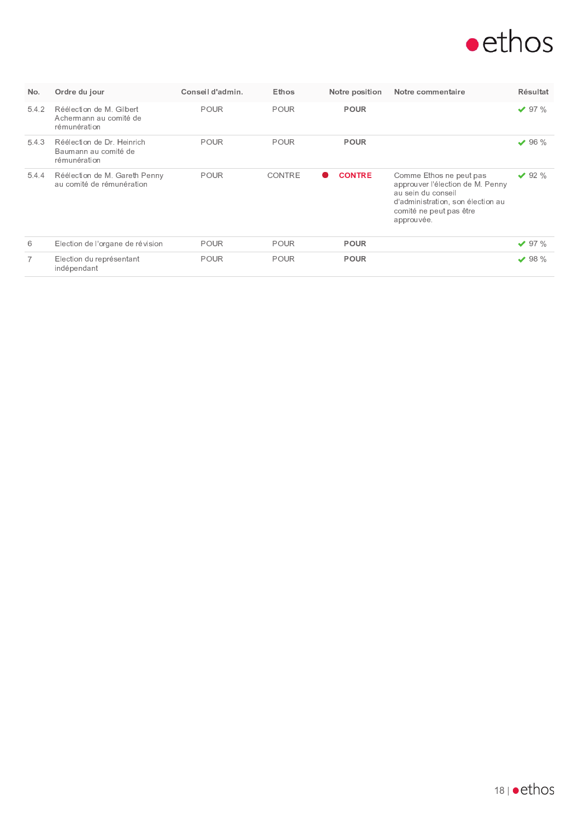

| No.   | Ordre du jour                                                      | Conseil d'admin. | <b>Ethos</b> | Notre position | Notre commentaire                                                                                                                                               | <b>Résultat</b> |
|-------|--------------------------------------------------------------------|------------------|--------------|----------------|-----------------------------------------------------------------------------------------------------------------------------------------------------------------|-----------------|
| 5.4.2 | Réélection de M. Gilbert<br>Achermann au comité de<br>rémunération | <b>POUR</b>      | <b>POUR</b>  | <b>POUR</b>    |                                                                                                                                                                 | $\vee$ 97 %     |
| 5.4.3 | Réélection de Dr. Heinrich<br>Baumann au comité de<br>rémunération | <b>POUR</b>      | <b>POUR</b>  | <b>POUR</b>    |                                                                                                                                                                 | $\vee$ 96 %     |
| 5.4.4 | Réélection de M. Gareth Penny<br>au comité de rémunération         | <b>POUR</b>      | CONTRE       | <b>CONTRE</b>  | Comme Ethos ne peut pas<br>approuver l'élection de M. Penny<br>au sein du conseil<br>d'administration, son élection au<br>comité ne peut pas être<br>approuvée. | $\vee$ 92 %     |
| 6     | Election de l'organe de révision                                   | <b>POUR</b>      | <b>POUR</b>  | <b>POUR</b>    |                                                                                                                                                                 | $\vee$ 97 %     |
| 7     | Election du représentant<br>indépendant                            | <b>POUR</b>      | POUR         | <b>POUR</b>    |                                                                                                                                                                 | $\times$ 98 %   |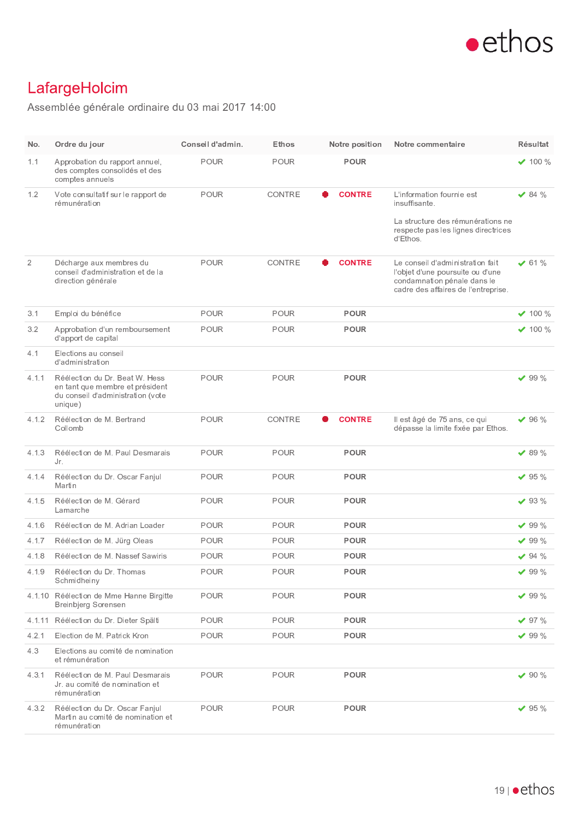

# LafargeHolcim

Assemblée générale ordinaire du 03 mai 2017 14:00

| No.            | Ordre du jour                                                                                                     | Conseil d'admin. | Ethos       | Notre position | Notre commentaire                                                                                                                          | Résultat      |
|----------------|-------------------------------------------------------------------------------------------------------------------|------------------|-------------|----------------|--------------------------------------------------------------------------------------------------------------------------------------------|---------------|
| 1.1            | Approbation du rapport annuel,<br>des comptes consolidés et des<br>comptes annuels                                | <b>POUR</b>      | <b>POUR</b> | <b>POUR</b>    |                                                                                                                                            | $\vee$ 100 %  |
| 1.2            | Vote consultatif sur le rapport de<br>rémunération                                                                | <b>POUR</b>      | CONTRE      | <b>CONTRE</b>  | L'information fournie est<br>insuffisante.<br>La structure des rémunérations ne<br>respecte pas les lignes directrices<br>d'Ethos.         | $\times$ 84 % |
| $\overline{2}$ | Décharge aux membres du<br>conseil d'administration et de la<br>direction générale                                | <b>POUR</b>      | CONTRE      | <b>CONTRE</b>  | Le conseil d'administration fait<br>l'objet d'une poursuite ou d'une<br>condamnation pénale dans le<br>cadre des affaires de l'entreprise. | $\times$ 61 % |
| 3.1            | Emploi du bénéfice                                                                                                | <b>POUR</b>      | <b>POUR</b> | <b>POUR</b>    |                                                                                                                                            | $\vee$ 100 %  |
| 3.2            | Approbation d'un remboursement<br>d'apport de capital                                                             | <b>POUR</b>      | <b>POUR</b> | <b>POUR</b>    |                                                                                                                                            | $\vee$ 100 %  |
| 4.1            | Elections au conseil<br>d'administration                                                                          |                  |             |                |                                                                                                                                            |               |
| 4.1.1          | Réélection du Dr. Beat W. Hess<br>en tant que membre et président<br>du conseil d'administration (vote<br>unique) | <b>POUR</b>      | POUR        | <b>POUR</b>    |                                                                                                                                            | $\vee$ 99 %   |
| 4.1.2          | Réélection de M. Bertrand<br>Collomb                                                                              | <b>POUR</b>      | CONTRE      | <b>CONTRE</b>  | Il est âgé de 75 ans, ce qui<br>dépasse la limite fixée par Ethos.                                                                         | $\times$ 96 % |
| 4.1.3          | Réélection de M. Paul Desmarais<br>Jr.                                                                            | <b>POUR</b>      | <b>POUR</b> | <b>POUR</b>    |                                                                                                                                            | $\vee$ 89 %   |
| 4.1.4          | Réélection du Dr. Oscar Fanjul<br>Martin                                                                          | <b>POUR</b>      | POUR        | <b>POUR</b>    |                                                                                                                                            | $\vee$ 95 %   |
| 4.1.5          | Réélection de M. Gérard<br>Lamarche                                                                               | <b>POUR</b>      | <b>POUR</b> | <b>POUR</b>    |                                                                                                                                            | $\vee$ 93 %   |
| 4.1.6          | Réélection de M. Adrian Loader                                                                                    | <b>POUR</b>      | <b>POUR</b> | <b>POUR</b>    |                                                                                                                                            | $\vee$ 99 %   |
| 4.1.7          | Réélection de M. Jürg Oleas                                                                                       | <b>POUR</b>      | <b>POUR</b> | <b>POUR</b>    |                                                                                                                                            | $\vee$ 99 %   |
| 4.1.8          | Réélection de M. Nassef Sawiris                                                                                   | <b>POUR</b>      | <b>POUR</b> | <b>POUR</b>    |                                                                                                                                            | $\vee$ 94 %   |
| 4.1.9          | Réélection du Dr. Thomas<br>Schmidheiny                                                                           | POUR             | POUR        | <b>POUR</b>    |                                                                                                                                            | $\vee$ 99 %   |
|                | 4.1.10 Réélection de Mme Hanne Birgitte<br><b>Breinbjerg Sorensen</b>                                             | POUR             | POUR        | <b>POUR</b>    |                                                                                                                                            | $\times$ 99 % |
|                | 4.1.11 Réélection du Dr. Dieter Spälti                                                                            | POUR             | POUR        | <b>POUR</b>    |                                                                                                                                            | $\times$ 97 % |
| 4.2.1          | Election de M. Patrick Kron                                                                                       | <b>POUR</b>      | <b>POUR</b> | <b>POUR</b>    |                                                                                                                                            | $\times$ 99 % |
| 4.3            | Elections au comité de nomination<br>et rémunération                                                              |                  |             |                |                                                                                                                                            |               |
| 4.3.1          | Réélection de M. Paul Desmarais<br>Jr. au comité de nomination et<br>rémunération                                 | <b>POUR</b>      | POUR        | <b>POUR</b>    |                                                                                                                                            | $\times$ 90 % |
| 4.3.2          | Réélection du Dr. Oscar Fanjul<br>Martin au comité de nomination et<br>rémunération                               | <b>POUR</b>      | <b>POUR</b> | <b>POUR</b>    |                                                                                                                                            | $\times$ 95 % |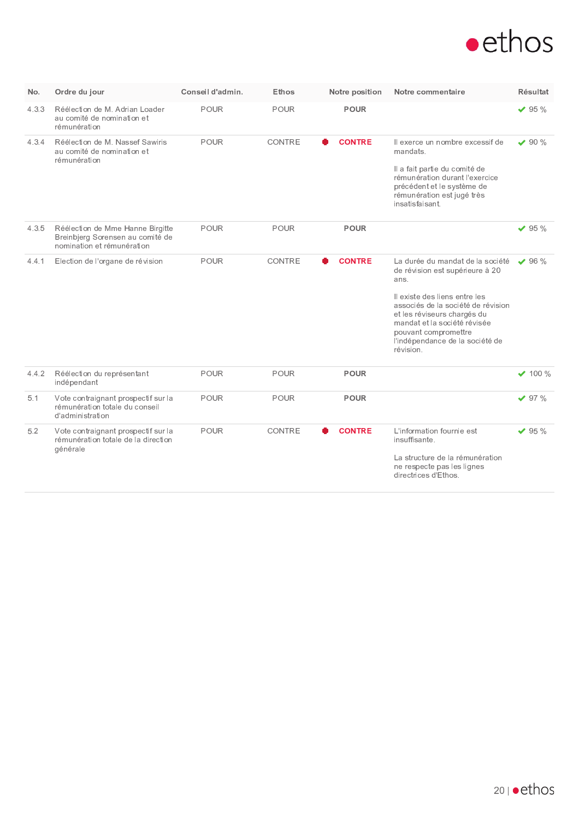

| No.   | Ordre du jour                                                                                      | Conseil d'admin. | Ethos         | Notre position | Notre commentaire                                                                                                                                                                                                                                                                         | Résultat      |
|-------|----------------------------------------------------------------------------------------------------|------------------|---------------|----------------|-------------------------------------------------------------------------------------------------------------------------------------------------------------------------------------------------------------------------------------------------------------------------------------------|---------------|
| 4.3.3 | Réélection de M. Adrian Loader<br>au comité de nomination et<br>rémunération                       | <b>POUR</b>      | POUR          | <b>POUR</b>    |                                                                                                                                                                                                                                                                                           | $\times$ 95 % |
| 4.3.4 | Réélection de M. Nassef Sawiris<br>au comité de nomination et<br>rémunération                      | POUR             | <b>CONTRE</b> | <b>CONTRE</b>  | Il exerce un nombre excessif de<br>mandats.<br>Il a fait partie du comité de<br>rémunération durant l'exercice<br>précédent et le système de<br>rémunération est jugé très<br>insatisfaisant.                                                                                             | $\vee$ 90 %   |
| 4.3.5 | Réélection de Mme Hanne Birgitte<br>Breinbjerg Sorensen au comité de<br>nomination et rémunération | POUR             | POUR          | POUR           |                                                                                                                                                                                                                                                                                           | $\times$ 95 % |
| 4.4.1 | Election de l'organe de révision                                                                   | <b>POUR</b>      | <b>CONTRE</b> | <b>CONTRE</b>  | La durée du mandat de la société<br>de révision est supérieure à 20<br>ans.<br>Il existe des liens entre les<br>associés de la société de révision<br>et les réviseurs chargés du<br>mandat et la société révisée<br>pouvant compromettre<br>l'indépendance de la société de<br>révision. | $96 \%$       |
| 4.4.2 | Réélection du représentant<br>indépendant                                                          | POUR             | POUR          | <b>POUR</b>    |                                                                                                                                                                                                                                                                                           | $\vee$ 100 %  |
| 5.1   | Vote contraignant prospectif sur la<br>rémunération totale du conseil<br>d'administration          | <b>POUR</b>      | POUR          | <b>POUR</b>    |                                                                                                                                                                                                                                                                                           | $\times$ 97 % |
| 5.2   | Vote contraignant prospectif sur la<br>rémunération totale de la direction<br>générale             | <b>POUR</b>      | <b>CONTRE</b> | <b>CONTRE</b>  | L'information fournie est<br>insuffisante.<br>La structure de la rémunération<br>ne respecte pas les lignes<br>directrices d'Ethos.                                                                                                                                                       | $\vee$ 95 %   |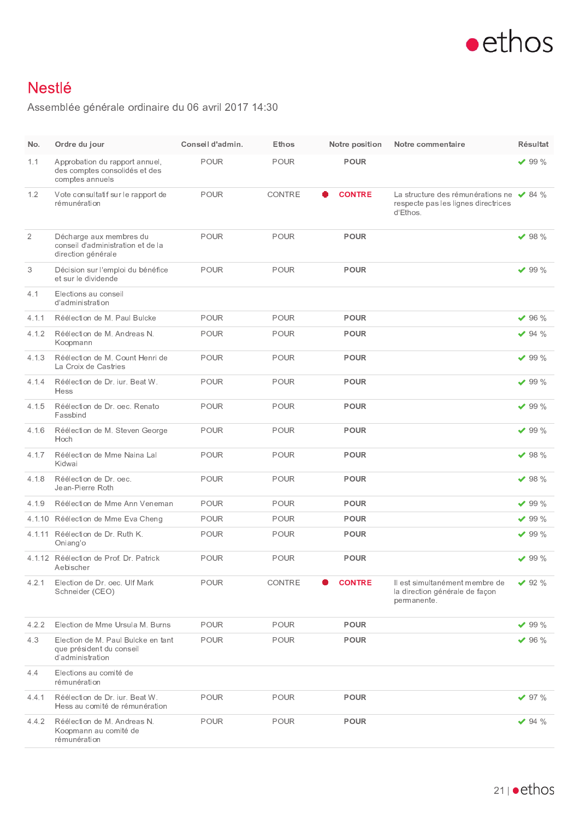

# **Nestlé**

Assemblée générale ordinaire du 06 avril 2017 14:30

| No.            | Ordre du jour                                                                      | Conseil d'admin. | Ethos         | Notre position     | Notre commentaire                                                                           | Résultat      |
|----------------|------------------------------------------------------------------------------------|------------------|---------------|--------------------|---------------------------------------------------------------------------------------------|---------------|
| 1.1            | Approbation du rapport annuel,<br>des comptes consolidés et des<br>comptes annuels | POUR             | POUR          | <b>POUR</b>        |                                                                                             | $\times$ 99 % |
| 1.2            | Vote consultatif sur le rapport de<br>rémunération                                 | POUR             | <b>CONTRE</b> | <b>CONTRE</b><br>۰ | La structure des rémunérations ne ◆ 84 %<br>respecte pas les lignes directrices<br>d'Ethos. |               |
| $\overline{2}$ | Décharge aux membres du<br>conseil d'administration et de la<br>direction générale | <b>POUR</b>      | POUR          | <b>POUR</b>        |                                                                                             | $\times$ 98 % |
| 3              | Décision sur l'emploi du bénéfice<br>et sur le dividende                           | <b>POUR</b>      | POUR          | <b>POUR</b>        |                                                                                             | $\times$ 99 % |
| 4.1            | Elections au conseil<br>d'administration                                           |                  |               |                    |                                                                                             |               |
| 4.1.1          | Réélection de M. Paul Bulcke                                                       | <b>POUR</b>      | POUR          | <b>POUR</b>        |                                                                                             | $\times$ 96 % |
| 4.1.2          | Réélection de M. Andreas N.<br>Koopmann                                            | <b>POUR</b>      | POUR          | <b>POUR</b>        |                                                                                             | $94 \%$       |
| 4.1.3          | Réélection de M. Count Henri de<br>La Croix de Castries                            | <b>POUR</b>      | <b>POUR</b>   | <b>POUR</b>        |                                                                                             | $\times$ 99 % |
| 4.1.4          | Réélection de Dr. iur. Beat W.<br>Hess                                             | <b>POUR</b>      | POUR          | <b>POUR</b>        |                                                                                             | $\times$ 99 % |
| 4.1.5          | Réélection de Dr. oec. Renato<br>Fassbind                                          | <b>POUR</b>      | <b>POUR</b>   | <b>POUR</b>        |                                                                                             | $\vee$ 99 %   |
| 4.1.6          | Réélection de M. Steven George<br>Hoch                                             | <b>POUR</b>      | <b>POUR</b>   | <b>POUR</b>        |                                                                                             | $\vee$ 99 %   |
| 4.1.7          | Réélection de Mme Naina Lal<br>Kidwai                                              | <b>POUR</b>      | <b>POUR</b>   | <b>POUR</b>        |                                                                                             | $\vee$ 98 %   |
| 4.1.8          | Réélection de Dr. oec.<br>Jean-Pierre Roth                                         | <b>POUR</b>      | <b>POUR</b>   | <b>POUR</b>        |                                                                                             | $\vee$ 98 %   |
| 4.1.9          | Réélection de Mme Ann Veneman                                                      | <b>POUR</b>      | <b>POUR</b>   | <b>POUR</b>        |                                                                                             | $\times$ 99 % |
|                | 4.1.10 Réélection de Mme Eva Cheng                                                 | <b>POUR</b>      | <b>POUR</b>   | <b>POUR</b>        |                                                                                             | $\vee$ 99 %   |
|                | 4.1.11 Réélection de Dr. Ruth K.<br>Oniang'o                                       | <b>POUR</b>      | POUR          | <b>POUR</b>        |                                                                                             | $\vee$ 99 %   |
|                | 4.1.12 Réélection de Prof. Dr. Patrick<br>Aebischer                                | <b>POUR</b>      | <b>POUR</b>   | <b>POUR</b>        |                                                                                             | $\vee$ 99 %   |
| 4.2.1          | Election de Dr. oec. Ulf Mark<br>Schneider (CEO)                                   | <b>POUR</b>      | CONTRE        | <b>CONTRE</b>      | Il est simultanément membre de<br>la direction générale de facon<br>permanente.             | $92\%$        |
| 4.2.2          | Election de Mme Ursula M. Burns                                                    | <b>POUR</b>      | <b>POUR</b>   | <b>POUR</b>        |                                                                                             | $\vee$ 99 %   |
| 4.3            | Election de M. Paul Bulcke en tant<br>que président du conseil<br>d'administration | <b>POUR</b>      | <b>POUR</b>   | <b>POUR</b>        |                                                                                             | $\times$ 96 % |
| 4.4            | Elections au comité de<br>rémunération                                             |                  |               |                    |                                                                                             |               |
| 4.4.1          | Réélection de Dr. iur. Beat W.<br>Hess au comité de rémunération                   | <b>POUR</b>      | <b>POUR</b>   | <b>POUR</b>        |                                                                                             | $\times$ 97 % |
| 4.4.2          | Réélection de M. Andreas N.<br>Koopmann au comité de<br>rémunération               | POUR             | POUR          | <b>POUR</b>        |                                                                                             | $\vee$ 94 %   |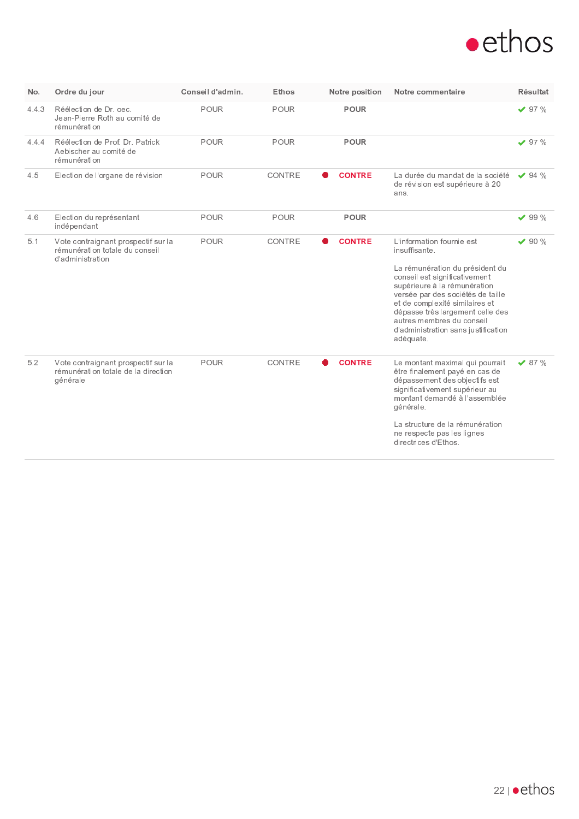

| No.   | Ordre du jour                                                                             | Conseil d'admin. | Ethos         | Notre position     | Notre commentaire                                                                                                                                                                                                                                                                                                                          | <b>Résultat</b> |
|-------|-------------------------------------------------------------------------------------------|------------------|---------------|--------------------|--------------------------------------------------------------------------------------------------------------------------------------------------------------------------------------------------------------------------------------------------------------------------------------------------------------------------------------------|-----------------|
| 4.4.3 | Réélection de Dr. oec.<br>Jean-Pierre Roth au comité de<br>rémunération                   | <b>POUR</b>      | POUR          | <b>POUR</b>        |                                                                                                                                                                                                                                                                                                                                            | $\times$ 97 %   |
| 4.4.4 | Réélection de Prof. Dr. Patrick<br>Aebischer au comité de<br>rémunération                 | POUR             | POUR          | <b>POUR</b>        |                                                                                                                                                                                                                                                                                                                                            | $\times$ 97 %   |
| 4.5   | Election de l'organe de révision                                                          | <b>POUR</b>      | CONTRE        | <b>CONTRE</b><br>۰ | La durée du mandat de la société<br>de révision est supérieure à 20<br>ans.                                                                                                                                                                                                                                                                | $94 \%$         |
| 4.6   | Election du représentant<br>indépendant                                                   | POUR             | POUR          | <b>POUR</b>        |                                                                                                                                                                                                                                                                                                                                            | $\vee$ 99 %     |
| 5.1   | Vote contraignant prospectif sur la<br>rémunération totale du conseil<br>d'administration | POUR             | <b>CONTRE</b> | <b>CONTRE</b>      | L'information fournie est<br>insuffisante.<br>La rémunération du président du<br>conseil est significativement<br>supérieure à la rémunération<br>versée par des sociétés de taille<br>et de complexité similaires et<br>dépasse très largement celle des<br>autres membres du conseil<br>d'administration sans justification<br>adéquate. | $\vee$ 90 %     |
| 5.2   | Vote contraignant prospectif sur la<br>rémunération totale de la direction<br>générale    | POUR             | <b>CONTRE</b> | <b>CONTRE</b>      | Le montant maximal qui pourrait<br>être finalement payé en cas de<br>dépassement des objectifs est<br>significativement supérieur au<br>montant demandé à l'assemblée<br>générale.<br>La structure de la rémunération<br>ne respecte pas les lignes<br>directrices d'Ethos.                                                                | $\vee$ 87 %     |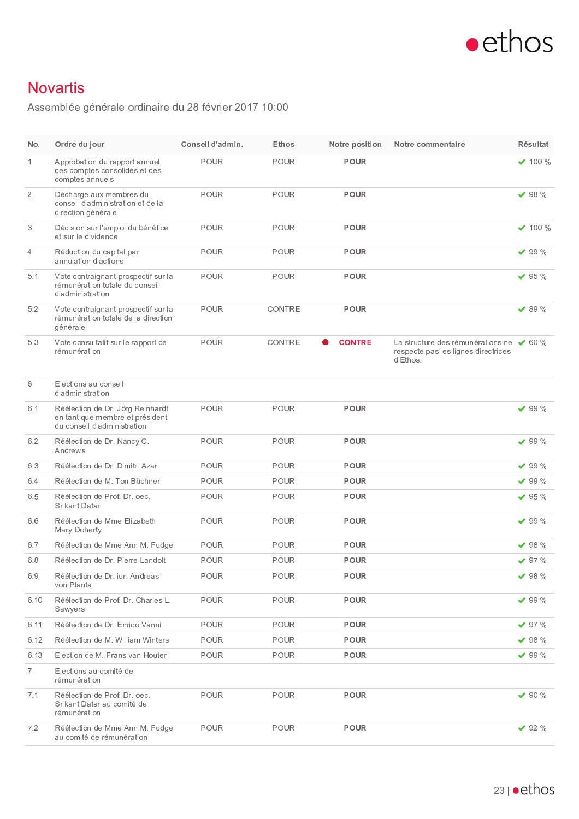

### **Novartis**

Assemblée générale ordinaire du 28 février 2017 10:00

| No.            | Ordre du jour                                                                                      | Conseil d'admin. | Ethos       | Notre position | Notre commentaire                                                                                  | Résultat      |
|----------------|----------------------------------------------------------------------------------------------------|------------------|-------------|----------------|----------------------------------------------------------------------------------------------------|---------------|
| 1              | Approbation du rapport annuel,<br>des comptes consolidés et des<br>comptes annuels                 | <b>POUR</b>      | <b>POUR</b> | <b>POUR</b>    |                                                                                                    | $\vee$ 100 %  |
| $\overline{2}$ | Décharge aux membres du<br>conseil d'administration et de la<br>direction générale                 | <b>POUR</b>      | POUR        | <b>POUR</b>    |                                                                                                    | $\vee$ 98 %   |
| 3              | Décision sur l'emploi du bénéfice<br>et sur le dividende                                           | <b>POUR</b>      | POUR        | <b>POUR</b>    |                                                                                                    | $\vee$ 100 %  |
| 4              | Réduction du capital par<br>annulation d'actions                                                   | <b>POUR</b>      | <b>POUR</b> | <b>POUR</b>    |                                                                                                    | $\vee$ 99 %   |
| 5.1            | Vote contraignant prospectif sur la<br>rémunération totale du conseil<br>d'administration          | <b>POUR</b>      | <b>POUR</b> | <b>POUR</b>    |                                                                                                    | $\times$ 95 % |
| 5.2            | Vote contraignant prospectif sur la<br>rémunération totale de la direction<br>générale             | <b>POUR</b>      | CONTRE      | <b>POUR</b>    |                                                                                                    | $\vee$ 89 %   |
| 5.3            | Vote consultatif sur le rapport de<br>rémunération                                                 | POUR             | CONTRE      | <b>CONTRE</b>  | La structure des rémunérations ne $\sqrt{60\%}$<br>respecte pas les lignes directrices<br>d'Ethos. |               |
| 6              | Elections au conseil<br>d'administration                                                           |                  |             |                |                                                                                                    |               |
| 6.1            | Réélection de Dr. Jörg Reinhardt<br>en tant que membre et président<br>du conseil d'administration | <b>POUR</b>      | POUR        | <b>POUR</b>    |                                                                                                    | $\times$ 99 % |
| 6.2            | Réélection de Dr. Nancy C.<br>Andrews                                                              | <b>POUR</b>      | <b>POUR</b> | <b>POUR</b>    |                                                                                                    | $\vee$ 99 %   |
| 6.3            | Réélection de Dr. Dimitri Azar                                                                     | <b>POUR</b>      | POUR        | <b>POUR</b>    |                                                                                                    | $\vee$ 99 %   |
| 6.4            | Réélection de M. Ton Büchner                                                                       | <b>POUR</b>      | POUR        | <b>POUR</b>    |                                                                                                    | $\times$ 99 % |
| 6.5            | Réélection de Prof. Dr. oec.<br>Srikant Datar                                                      | <b>POUR</b>      | POUR        | <b>POUR</b>    |                                                                                                    | $\vee$ 95 %   |
| 6.6            | Réélection de Mme Elizabeth<br>Mary Doherty                                                        | <b>POUR</b>      | POUR        | <b>POUR</b>    |                                                                                                    | $\times$ 99 % |
| 6.7            | Réélection de Mme Ann M. Fudge                                                                     | <b>POUR</b>      | POUR        | <b>POUR</b>    |                                                                                                    | $\vee$ 98 %   |
| 6.8            | Réélection de Dr. Pierre Landolt                                                                   | <b>POUR</b>      | POUR        | <b>POUR</b>    |                                                                                                    | $\times$ 97 % |
| 6.9            | Réélection de Dr. iur. Andreas<br>von Planta                                                       | POUR             | POUR        | <b>POUR</b>    |                                                                                                    | $\times$ 98 % |
| 6.10           | Réélection de Prof. Dr. Charles L.<br>Sawyers                                                      | <b>POUR</b>      | POUR        | <b>POUR</b>    |                                                                                                    | $\times$ 99 % |
| 6.11           | Réélection de Dr. Enrico Vanni                                                                     | POUR             | POUR        | <b>POUR</b>    |                                                                                                    | $\times$ 97 % |
| 6.12           | Réélection de M. William Winters                                                                   | <b>POUR</b>      | <b>POUR</b> | <b>POUR</b>    |                                                                                                    | $\times$ 98 % |
| 6.13           | Election de M. Frans van Houten                                                                    | POUR             | POUR        | <b>POUR</b>    |                                                                                                    | $\times$ 99 % |
| 7              | Elections au comité de<br>rémunération                                                             |                  |             |                |                                                                                                    |               |
| 7.1            | Réélection de Prof. Dr. oec.<br>Srikant Datar au comité de<br>rémunération                         | <b>POUR</b>      | <b>POUR</b> | <b>POUR</b>    |                                                                                                    | $\times$ 90 % |
| 7.2            | Réélection de Mme Ann M. Fudge<br>au comité de rémunération                                        | POUR             | POUR        | <b>POUR</b>    |                                                                                                    | $\times$ 92 % |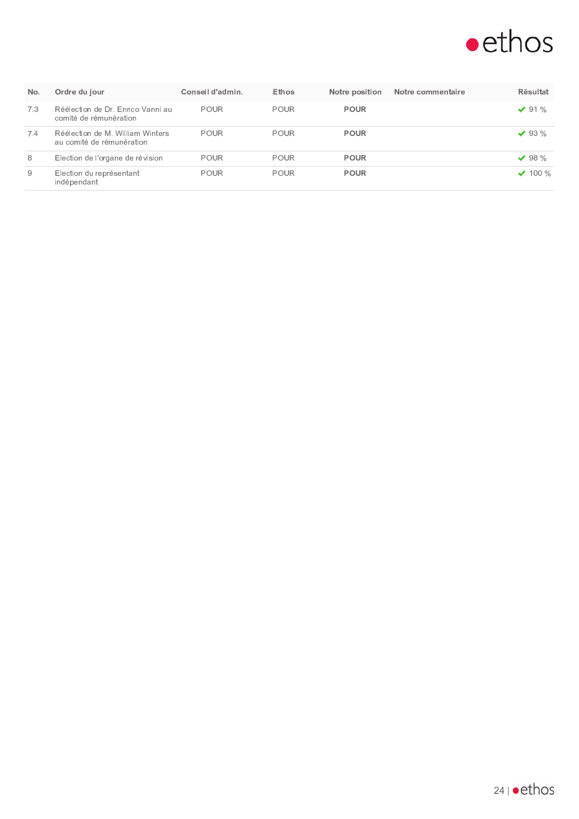

| No. | Ordre du jour                                                 | Conseil d'admin. | Ethos       | Notre position | Notre commentaire | <b>Résultat</b> |
|-----|---------------------------------------------------------------|------------------|-------------|----------------|-------------------|-----------------|
| 7.3 | Réélection de Dr. Enrico Vanni au<br>comité de rémunération   | <b>POUR</b>      | <b>POUR</b> | <b>POUR</b>    |                   | $\vee$ 91 %     |
| 7.4 | Réélection de M. William Winters<br>au comité de rémunération | <b>POUR</b>      | POUR        | <b>POUR</b>    |                   | $\vee$ 93 %     |
| 8   | Election de l'organe de révision                              | <b>POUR</b>      | POUR        | <b>POUR</b>    |                   | $\vee$ 98 %     |
| 9   | Election du représentant<br>indépendant                       | <b>POUR</b>      | <b>POUR</b> | <b>POUR</b>    |                   | $\vee$ 100 %    |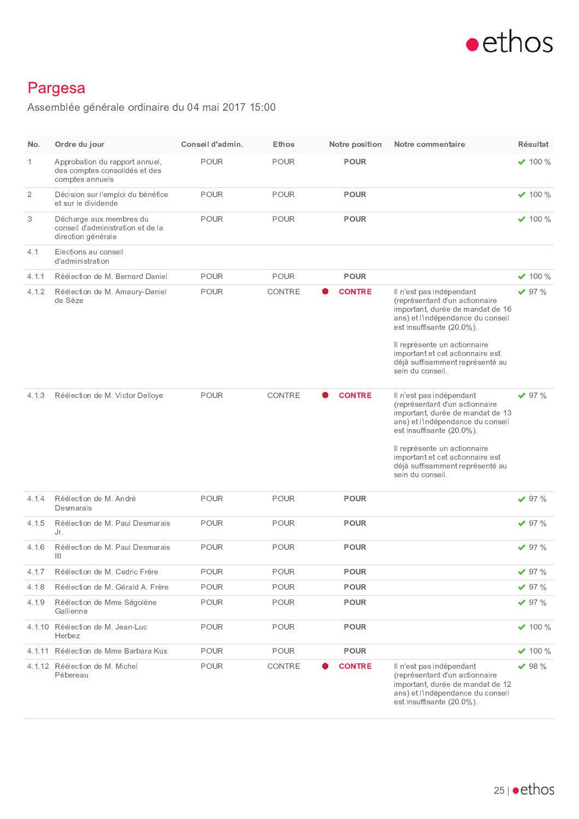

## Pargesa

Assemblée générale ordinaire du 04 mai 2017 15:00

| No.            | Ordre du jour                                                                      | Conseil d'admin. | Ethos       | Notre position | Notre commentaire                                                                                                                                                                                                                                                                           | Résultat       |
|----------------|------------------------------------------------------------------------------------|------------------|-------------|----------------|---------------------------------------------------------------------------------------------------------------------------------------------------------------------------------------------------------------------------------------------------------------------------------------------|----------------|
| 1              | Approbation du rapport annuel,<br>des comptes consolidés et des<br>comptes annuels | <b>POUR</b>      | <b>POUR</b> | <b>POUR</b>    |                                                                                                                                                                                                                                                                                             | $\vee$ 100 %   |
| $\overline{2}$ | Décision sur l'emploi du bénéfice<br>et sur le dividende                           | <b>POUR</b>      | <b>POUR</b> | <b>POUR</b>    |                                                                                                                                                                                                                                                                                             | $\times$ 100 % |
| 3              | Décharge aux membres du<br>conseil d'administration et de la<br>direction générale | <b>POUR</b>      | <b>POUR</b> | <b>POUR</b>    |                                                                                                                                                                                                                                                                                             | $\times$ 100 % |
| 4.1            | Elections au conseil<br>d'administration                                           |                  |             |                |                                                                                                                                                                                                                                                                                             |                |
| 4.1.1          | Réélection de M. Bernard Daniel                                                    | <b>POUR</b>      | <b>POUR</b> | <b>POUR</b>    |                                                                                                                                                                                                                                                                                             | $\times$ 100 % |
| 4.1.2          | Réélection de M. Amaury-Daniel<br>de Sèze                                          | <b>POUR</b>      | CONTRE      | <b>CONTRE</b>  | Il n'est pas indépendant<br>(représentant d'un actionnaire<br>important, durée de mandat de 16<br>ans) et l'indépendance du conseil<br>est insuffisante (20.0%).<br>Il représente un actionnaire<br>important et cet actionnaire est<br>déjà suffisamment représenté au<br>sein du conseil. | $\times$ 97 %  |
| 4.1.3          | Réélection de M. Victor Delloye                                                    | <b>POUR</b>      | CONTRE      | <b>CONTRE</b>  | Il n'est pas indépendant<br>(représentant d'un actionnaire<br>important, durée de mandat de 13<br>ans) et l'indépendance du conseil<br>est insuffisante (20.0%).<br>Il représente un actionnaire<br>important et cet actionnaire est<br>déjà suffisamment représenté au<br>sein du conseil. | $\times$ 97 %  |
| 4.1.4          | Réélection de M. André<br>Desmarais                                                | <b>POUR</b>      | <b>POUR</b> | <b>POUR</b>    |                                                                                                                                                                                                                                                                                             | $\vee$ 97 %    |
| 4.1.5          | Réélection de M. Paul Desmarais<br>Jr.                                             | <b>POUR</b>      | <b>POUR</b> | <b>POUR</b>    |                                                                                                                                                                                                                                                                                             | $\vee$ 97 %    |
| 4.1.6          | Réélection de M. Paul Desmarais<br>Ш                                               | <b>POUR</b>      | <b>POUR</b> | <b>POUR</b>    |                                                                                                                                                                                                                                                                                             | $\times$ 97 %  |
| 4.1.7          | Réélection de M. Cedric Frère                                                      | POUR             | POUR        | <b>POUR</b>    |                                                                                                                                                                                                                                                                                             | $\times$ 97 %  |
| 4.1.8          | Réélection de M. Gérald A. Frère                                                   | <b>POUR</b>      | POUR        | <b>POUR</b>    |                                                                                                                                                                                                                                                                                             | $\vee$ 97 %    |
| 4.1.9          | Réélection de Mme Ségolène<br>Gallienne                                            | POUR             | POUR        | <b>POUR</b>    |                                                                                                                                                                                                                                                                                             | $\times$ 97 %  |
|                | 4.1.10 Réélection de M. Jean-Luc<br>Herbez                                         | POUR             | POUR        | <b>POUR</b>    |                                                                                                                                                                                                                                                                                             | $\times$ 100 % |
|                | 4.1.11 Réélection de Mme Barbara Kux                                               | <b>POUR</b>      | POUR        | <b>POUR</b>    |                                                                                                                                                                                                                                                                                             | $\times$ 100 % |
|                | 4.1.12 Réélection de M. Michel<br>Pébereau                                         | POUR             | CONTRE      | <b>CONTRE</b>  | Il n'est pas indépendant<br>(représentant d'un actionnaire<br>important, durée de mandat de 12<br>ans) et l'indépendance du conseil<br>est insuffisante (20.0%).                                                                                                                            | $\times$ 98 %  |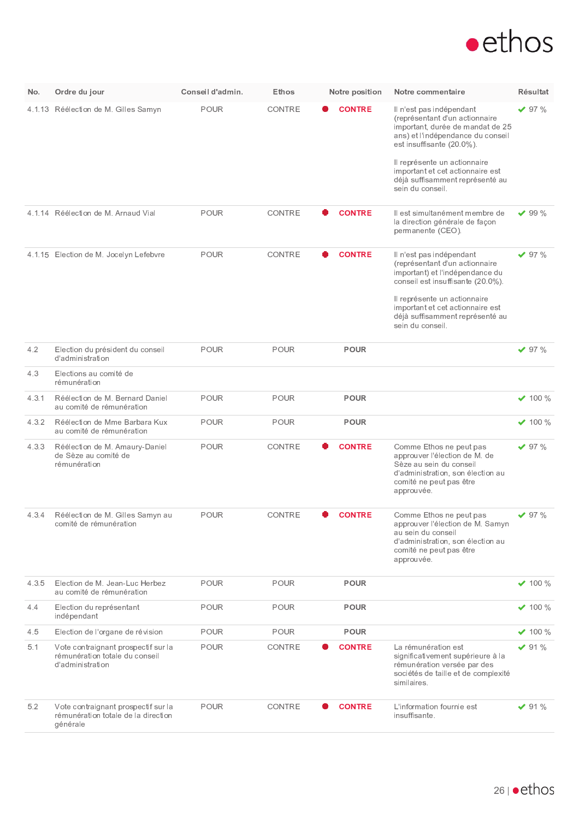

| No.   | Ordre du jour                                                                             | Conseil d'admin. | Ethos  | Notre position | Notre commentaire                                                                                                                                                                                | Résultat       |
|-------|-------------------------------------------------------------------------------------------|------------------|--------|----------------|--------------------------------------------------------------------------------------------------------------------------------------------------------------------------------------------------|----------------|
|       | 4.1.13 Réélection de M. Gilles Samyn                                                      | <b>POUR</b>      | CONTRE | <b>CONTRE</b>  | Il n'est pas indépendant<br>(représentant d'un actionnaire<br>important, durée de mandat de 25<br>ans) et l'indépendance du conseil<br>est insuffisante (20.0%).<br>Il représente un actionnaire | $\times$ 97 %  |
|       |                                                                                           |                  |        |                | important et cet actionnaire est<br>déjà suffisamment représenté au<br>sein du conseil.                                                                                                          |                |
|       | 4.1.14 Réélection de M. Arnaud Vial                                                       | POUR             | CONTRE | <b>CONTRE</b>  | Il est simultanément membre de<br>la direction générale de façon<br>permanente (CEO).                                                                                                            | $\times$ 99 %  |
|       | 4.1.15 Election de M. Jocelyn Lefebvre                                                    | <b>POUR</b>      | CONTRE | <b>CONTRE</b>  | Il n'est pas indépendant<br>(représentant d'un actionnaire<br>important) et l'indépendance du<br>conseil est insuffisante (20.0%).                                                               | $\times$ 97 %  |
|       |                                                                                           |                  |        |                | Il représente un actionnaire<br>important et cet actionnaire est<br>déjà suffisamment représenté au<br>sein du conseil.                                                                          |                |
| 4.2   | Election du président du conseil<br>d'administration                                      | <b>POUR</b>      | POUR   | <b>POUR</b>    |                                                                                                                                                                                                  | $\times$ 97 %  |
| 4.3   | Elections au comité de<br>rémunération                                                    |                  |        |                |                                                                                                                                                                                                  |                |
| 4.3.1 | Réélection de M. Bernard Daniel<br>au comité de rémunération                              | <b>POUR</b>      | POUR   | <b>POUR</b>    |                                                                                                                                                                                                  | $\times$ 100 % |
| 4.3.2 | Réélection de Mme Barbara Kux<br>au comité de rémunération                                | <b>POUR</b>      | POUR   | <b>POUR</b>    |                                                                                                                                                                                                  | $\times$ 100 % |
| 4.3.3 | Réélection de M. Amaury-Daniel<br>de Sèze au comité de<br>rémunération                    | <b>POUR</b>      | CONTRE | <b>CONTRE</b>  | Comme Ethos ne peut pas<br>approuver l'élection de M. de<br>Sèze au sein du conseil<br>d'administration, son élection au<br>comité ne peut pas être<br>approuvée.                                | $\vee$ 97 %    |
| 4.3.4 | Réélection de M. Gilles Samyn au<br>comité de rémunération                                | <b>POUR</b>      | CONTRE | <b>CONTRE</b>  | Comme Ethos ne peut pas<br>approuver l'élection de M. Samyn<br>au sein du conseil<br>d'administration, son élection au<br>comité ne peut pas être<br>approuvée.                                  | $\times$ 97 %  |
| 4.3.5 | Election de M. Jean-Luc Herbez<br>au comité de rémunération                               | <b>POUR</b>      | POUR   | <b>POUR</b>    |                                                                                                                                                                                                  | $\vee$ 100 %   |
| 4.4   | Election du représentant<br>indépendant                                                   | <b>POUR</b>      | POUR   | <b>POUR</b>    |                                                                                                                                                                                                  | $\times$ 100 % |
| 4.5   | Election de l'organe de révision                                                          | <b>POUR</b>      | POUR   | <b>POUR</b>    |                                                                                                                                                                                                  | $\times$ 100 % |
| 5.1   | Vote contraignant prospectif sur la<br>rémunération totale du conseil<br>d'administration | <b>POUR</b>      | CONTRE | <b>CONTRE</b>  | La rémunération est<br>significativement supérieure à la<br>rémunération versée par des<br>sociétés de taille et de complexité<br>similaires.                                                    | $\vee$ 91 %    |
| 5.2   | Vote contraignant prospectif sur la<br>rémunération totale de la direction<br>générale    | <b>POUR</b>      | CONTRE | <b>CONTRE</b>  | L'information fournie est<br>insuffisante.                                                                                                                                                       | $\vee$ 91 %    |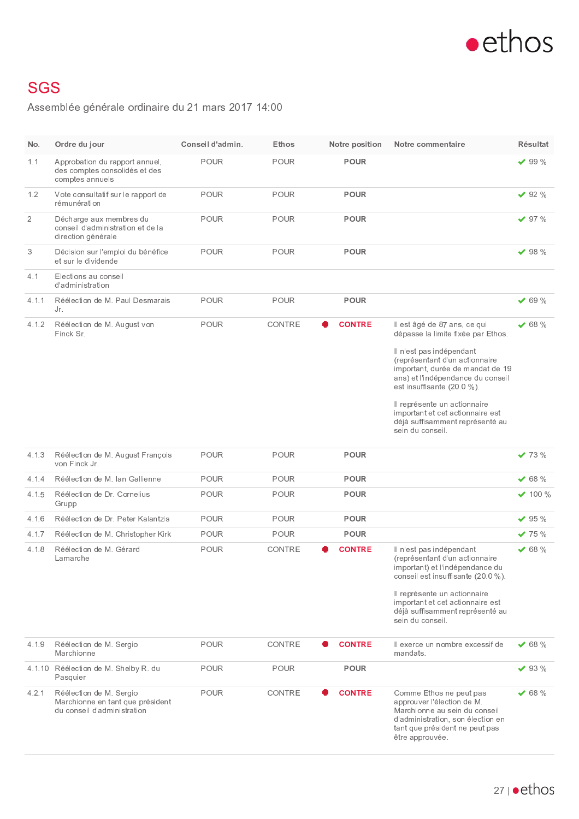

## **SGS**

Assemblée générale ordinaire du 21 mars 2017 14:00

| No.            | Ordre du jour                                                                              | Conseil d'admin. | <b>Ethos</b>  | Notre position | Notre commentaire                                                                                                                                                                                                                                                                                                                                                  | Résultat                  |
|----------------|--------------------------------------------------------------------------------------------|------------------|---------------|----------------|--------------------------------------------------------------------------------------------------------------------------------------------------------------------------------------------------------------------------------------------------------------------------------------------------------------------------------------------------------------------|---------------------------|
| 1.1            | Approbation du rapport annuel,<br>des comptes consolidés et des<br>comptes annuels         | <b>POUR</b>      | <b>POUR</b>   | <b>POUR</b>    |                                                                                                                                                                                                                                                                                                                                                                    | $\vee$ 99 %               |
| 1.2            | Vote consultatif sur le rapport de<br>rémunération                                         | <b>POUR</b>      | POUR          | <b>POUR</b>    |                                                                                                                                                                                                                                                                                                                                                                    | $\vee$ 92 %               |
| $\overline{2}$ | Décharge aux membres du<br>conseil d'administration et de la<br>direction générale         | <b>POUR</b>      | POUR          | <b>POUR</b>    |                                                                                                                                                                                                                                                                                                                                                                    | $\times$ 97 %             |
| 3              | Décision sur l'emploi du bénéfice<br>et sur le dividende                                   | <b>POUR</b>      | <b>POUR</b>   | <b>POUR</b>    |                                                                                                                                                                                                                                                                                                                                                                    | $\vee$ 98 %               |
| 4.1            | Elections au conseil<br>d'administration                                                   |                  |               |                |                                                                                                                                                                                                                                                                                                                                                                    |                           |
| 4.1.1          | Réélection de M. Paul Desmarais<br>Jr.                                                     | POUR             | POUR          | <b>POUR</b>    |                                                                                                                                                                                                                                                                                                                                                                    | $\times$ 69 %             |
| 4.1.2          | Réélection de M. August von<br>Finck Sr.                                                   | <b>POUR</b>      | CONTRE        | <b>CONTRE</b>  | Il est âgé de 87 ans, ce qui<br>dépasse la limite fixée par Ethos.<br>Il n'est pas indépendant<br>(représentant d'un actionnaire<br>important, durée de mandat de 19<br>ans) et l'indépendance du conseil<br>est insuffisante (20.0 %).<br>Il représente un actionnaire<br>important et cet actionnaire est<br>déjà suffisamment représenté au<br>sein du conseil. | $\times$ 68 %             |
| 4.1.3          | Réélection de M. August François<br>von Finck Jr.                                          | <b>POUR</b>      | <b>POUR</b>   | <b>POUR</b>    |                                                                                                                                                                                                                                                                                                                                                                    | $\times$ 73 %             |
| 4.1.4          | Réélection de M. Ian Gallienne                                                             | <b>POUR</b>      | <b>POUR</b>   | <b>POUR</b>    |                                                                                                                                                                                                                                                                                                                                                                    | $\times$ 68 %             |
| 4.1.5          | Réélection de Dr. Cornelius<br>Grupp                                                       | <b>POUR</b>      | POUR          | <b>POUR</b>    |                                                                                                                                                                                                                                                                                                                                                                    | $\times$ 100 %            |
| 4.1.6          | Réélection de Dr. Peter Kalantzis                                                          | <b>POUR</b>      | <b>POUR</b>   | <b>POUR</b>    |                                                                                                                                                                                                                                                                                                                                                                    | $\times$ 95 %             |
| 4.1.7          | Réélection de M. Christopher Kirk                                                          | <b>POUR</b>      | POUR          | <b>POUR</b>    |                                                                                                                                                                                                                                                                                                                                                                    | $\blacktriangledown$ 75 % |
| 4.1.8          | Réélection de M. Gérard<br>Lamarche                                                        | <b>POUR</b>      | <b>CONTRE</b> | <b>CONTRE</b>  | Il n'est pas indépendant<br>(représentant d'un actionnaire<br>important) et l'indépendance du<br>conseil est insuffisante (20.0 %).<br>Il représente un actionnaire<br>important et cet actionnaire est<br>déjà suffisamment représenté au<br>sein du conseil.                                                                                                     | $\times$ 68 %             |
| 4.1.9          | Réélection de M. Sergio<br>Marchionne                                                      | <b>POUR</b>      | CONTRE        | <b>CONTRE</b>  | Il exerce un nombre excessif de<br>mandats.                                                                                                                                                                                                                                                                                                                        | $\times$ 68 %             |
|                | 4.1.10 Réélection de M. Shelby R. du<br>Pasquier                                           | <b>POUR</b>      | <b>POUR</b>   | <b>POUR</b>    |                                                                                                                                                                                                                                                                                                                                                                    | $\vee$ 93 %               |
| 4.2.1          | Réélection de M. Sergio<br>Marchionne en tant que président<br>du conseil d'administration | POUR             | CONTRE        | <b>CONTRE</b>  | Comme Ethos ne peut pas<br>approuver l'élection de M.<br>Marchionne au sein du conseil<br>d'administration, son élection en<br>tant que président ne peut pas<br>être approuvée.                                                                                                                                                                                   | $\times$ 68 %             |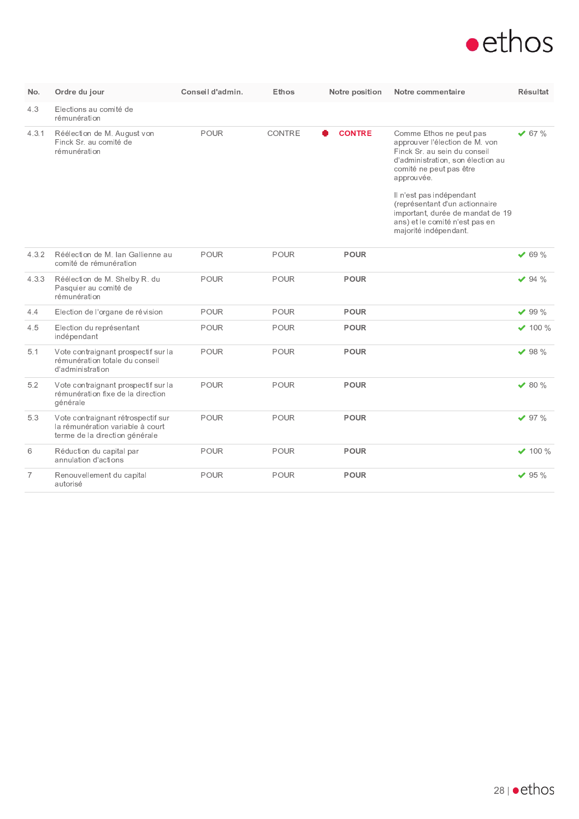

| No.            | Ordre du jour                                                                                            | Conseil d'admin. | Ethos       | Notre position | Notre commentaire                                                                                                                                                       | Résultat       |
|----------------|----------------------------------------------------------------------------------------------------------|------------------|-------------|----------------|-------------------------------------------------------------------------------------------------------------------------------------------------------------------------|----------------|
| 4.3            | Elections au comité de<br>rémunération                                                                   |                  |             |                |                                                                                                                                                                         |                |
| 4.3.1          | Réélection de M. August von<br>Finck Sr. au comité de<br>rémunération                                    | <b>POUR</b>      | CONTRE      | <b>CONTRE</b>  | Comme Ethos ne peut pas<br>approuver l'élection de M. von<br>Finck Sr. au sein du conseil<br>d'administration, son élection au<br>comité ne peut pas être<br>approuvée. | $\times$ 67 %  |
|                |                                                                                                          |                  |             |                | Il n'est pas indépendant<br>(représentant d'un actionnaire<br>important, durée de mandat de 19<br>ans) et le comité n'est pas en<br>majorité indépendant.               |                |
| 4.3.2          | Réélection de M. Ian Gallienne au<br>comité de rémunération                                              | <b>POUR</b>      | POUR        | <b>POUR</b>    |                                                                                                                                                                         | $\times$ 69 %  |
| 4.3.3          | Réélection de M. Shelby R. du<br>Pasquier au comité de<br>rémunération                                   | <b>POUR</b>      | <b>POUR</b> | <b>POUR</b>    |                                                                                                                                                                         | $\times$ 94 %  |
| 4.4            | Election de l'organe de révision                                                                         | <b>POUR</b>      | <b>POUR</b> | <b>POUR</b>    |                                                                                                                                                                         | $\times$ 99 %  |
| 4.5            | Election du représentant<br>indépendant                                                                  | POUR             | POUR        | <b>POUR</b>    |                                                                                                                                                                         | $\times$ 100 % |
| 5.1            | Vote contraignant prospectif sur la<br>rémunération totale du conseil<br>d'administration                | <b>POUR</b>      | POUR        | <b>POUR</b>    |                                                                                                                                                                         | $\times$ 98 %  |
| 5.2            | Vote contraignant prospectif sur la<br>rémunération fixe de la direction<br>générale                     | <b>POUR</b>      | <b>POUR</b> | <b>POUR</b>    |                                                                                                                                                                         | $\times$ 80 %  |
| 5.3            | Vote contraignant rétrospectif sur<br>la rémunération variable à court<br>terme de la direction générale | <b>POUR</b>      | POUR        | <b>POUR</b>    |                                                                                                                                                                         | $\times$ 97 %  |
| 6              | Réduction du capital par<br>annulation d'actions                                                         | <b>POUR</b>      | <b>POUR</b> | <b>POUR</b>    |                                                                                                                                                                         | $\times$ 100 % |
| $\overline{7}$ | Renouvellement du capital<br>autorisé                                                                    | <b>POUR</b>      | POUR        | <b>POUR</b>    |                                                                                                                                                                         | $\vee$ 95 %    |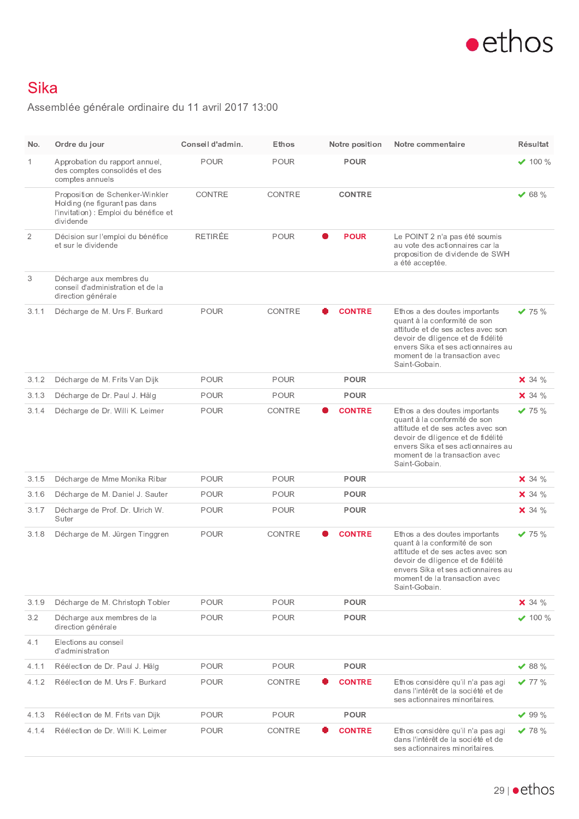

## Sika

Assemblée générale ordinaire du 11 avril 2017 13:00

| No.            | Ordre du jour                                                                                                          | Conseil d'admin. | Ethos         | Notre position | Notre commentaire                                                                                                                                                                                                                | Résultat       |
|----------------|------------------------------------------------------------------------------------------------------------------------|------------------|---------------|----------------|----------------------------------------------------------------------------------------------------------------------------------------------------------------------------------------------------------------------------------|----------------|
| $\mathbf{1}$   | Approbation du rapport annuel,<br>des comptes consolidés et des<br>comptes annuels                                     | <b>POUR</b>      | POUR          | <b>POUR</b>    |                                                                                                                                                                                                                                  | $\times$ 100 % |
|                | Proposition de Schenker-Winkler<br>Holding (ne figurant pas dans<br>l'invitation) : Emploi du bénéfice et<br>dividende | CONTRE           | CONTRE        | <b>CONTRE</b>  |                                                                                                                                                                                                                                  | $\times$ 68 %  |
| $\overline{2}$ | Décision sur l'emploi du bénéfice<br>et sur le dividende                                                               | <b>RETIRÉE</b>   | POUR          | <b>POUR</b>    | Le POINT 2 n'a pas été soumis<br>au vote des actionnaires car la<br>proposition de dividende de SWH<br>a été acceptée.                                                                                                           |                |
| 3              | Décharge aux membres du<br>conseil d'administration et de la<br>direction générale                                     |                  |               |                |                                                                                                                                                                                                                                  |                |
| 3.1.1          | Décharge de M. Urs F. Burkard                                                                                          | POUR             | <b>CONTRE</b> | <b>CONTRE</b>  | Ethos a des doutes importants<br>quant à la conformité de son<br>attitude et de ses actes avec son<br>devoir de diligence et de fidélité<br>envers Sika et ses actionnaires au<br>moment de la transaction avec<br>Saint-Gobain. | $\times$ 75 %  |
| 3.1.2          | Décharge de M. Frits Van Dijk                                                                                          | <b>POUR</b>      | POUR          | <b>POUR</b>    |                                                                                                                                                                                                                                  | $\times$ 34 %  |
| 3.1.3          | Décharge de Dr. Paul J. Hälg                                                                                           | <b>POUR</b>      | <b>POUR</b>   | <b>POUR</b>    |                                                                                                                                                                                                                                  | $\times$ 34 %  |
| 3.1.4          | Décharge de Dr. Willi K. Leimer                                                                                        | POUR             | CONTRE        | <b>CONTRE</b>  | Ethos a des doutes importants<br>quant à la conformité de son<br>attitude et de ses actes avec son<br>devoir de diligence et de fidélité<br>envers Sika et ses actionnaires au<br>moment de la transaction avec<br>Saint-Gobain. | $\times$ 75 %  |
| 3.1.5          | Décharge de Mme Monika Ribar                                                                                           | <b>POUR</b>      | POUR          | <b>POUR</b>    |                                                                                                                                                                                                                                  | $\times$ 34 %  |
| 3.1.6          | Décharge de M. Daniel J. Sauter                                                                                        | <b>POUR</b>      | <b>POUR</b>   | <b>POUR</b>    |                                                                                                                                                                                                                                  | $\times$ 34 %  |
| 3.1.7          | Décharge de Prof. Dr. Ulrich W.<br>Suter                                                                               | <b>POUR</b>      | POUR          | <b>POUR</b>    |                                                                                                                                                                                                                                  | $\times$ 34 %  |
| 3.1.8          | Décharge de M. Jürgen Tinggren                                                                                         | <b>POUR</b>      | CONTRE        | <b>CONTRE</b>  | Ethos a des doutes importants<br>quant à la conformité de son<br>attitude et de ses actes avec son<br>devoir de diligence et de fidélité<br>envers Sika et ses actionnaires au<br>moment de la transaction avec<br>Saint-Gobain. | $\times$ 75 %  |
| 3.1.9          | Décharge de M. Christoph Tobler                                                                                        | <b>POUR</b>      | <b>POUR</b>   | <b>POUR</b>    |                                                                                                                                                                                                                                  | $\times$ 34 %  |
| 3.2            | Décharge aux membres de la<br>direction générale                                                                       | <b>POUR</b>      | <b>POUR</b>   | <b>POUR</b>    |                                                                                                                                                                                                                                  | $\times$ 100 % |
| 4.1            | Elections au conseil<br>d'administration                                                                               |                  |               |                |                                                                                                                                                                                                                                  |                |
| 4.1.1          | Réélection de Dr. Paul J. Hälg                                                                                         | <b>POUR</b>      | <b>POUR</b>   | <b>POUR</b>    |                                                                                                                                                                                                                                  | $\vee$ 88 %    |
| 4.1.2          | Réélection de M. Urs F. Burkard                                                                                        | <b>POUR</b>      | CONTRE        | <b>CONTRE</b>  | Ethos considère qu'il n'a pas agi<br>dans l'intérêt de la société et de<br>ses actionnaires minoritaires.                                                                                                                        | $\times$ 77 %  |
| 4.1.3          | Réélection de M. Frits van Dijk                                                                                        | <b>POUR</b>      | <b>POUR</b>   | <b>POUR</b>    |                                                                                                                                                                                                                                  | $\times$ 99 %  |
| 4.1.4          | Réélection de Dr. Willi K. Leimer                                                                                      | POUR             | CONTRE        | <b>CONTRE</b>  | Ethos considère qu'il n'a pas agi<br>dans l'intérêt de la société et de<br>ses actionnaires minoritaires.                                                                                                                        | $\times$ 78 %  |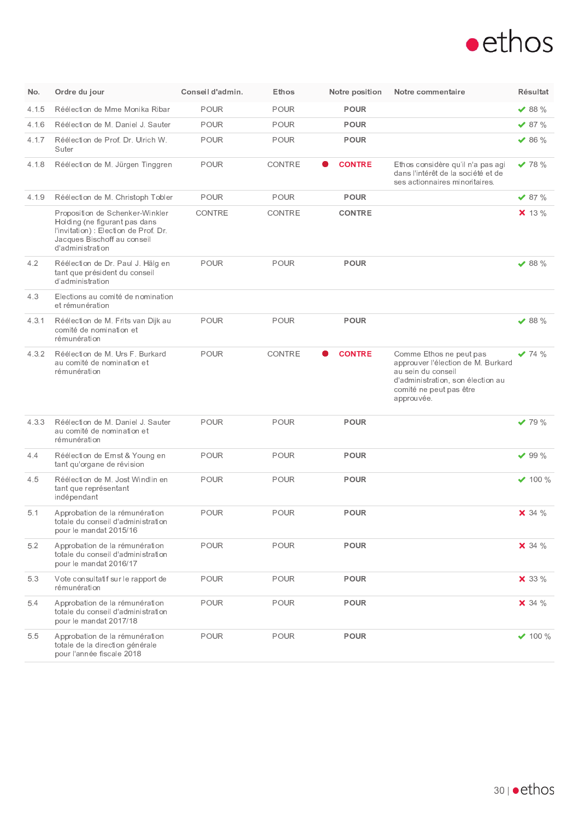

| No.   | Ordre du jour                                                                                                                                                | Conseil d'admin. | Ethos       | Notre position | Notre commentaire                                                                                                                                                 | Résultat       |
|-------|--------------------------------------------------------------------------------------------------------------------------------------------------------------|------------------|-------------|----------------|-------------------------------------------------------------------------------------------------------------------------------------------------------------------|----------------|
| 4.1.5 | Réélection de Mme Monika Ribar                                                                                                                               | <b>POUR</b>      | POUR        | <b>POUR</b>    |                                                                                                                                                                   | $\times$ 88 %  |
| 4.1.6 | Réélection de M. Daniel J. Sauter                                                                                                                            | <b>POUR</b>      | POUR        | <b>POUR</b>    |                                                                                                                                                                   | $\times$ 87 %  |
| 4.1.7 | Réélection de Prof. Dr. Ulrich W.<br>Suter                                                                                                                   | POUR             | <b>POUR</b> | <b>POUR</b>    |                                                                                                                                                                   | $\vee$ 86 %    |
| 4.1.8 | Réélection de M. Jürgen Tinggren                                                                                                                             | <b>POUR</b>      | CONTRE      | <b>CONTRE</b>  | Ethos considère qu'il n'a pas agi<br>dans l'intérêt de la société et de<br>ses actionnaires minoritaires.                                                         | $\times$ 78 %  |
| 4.1.9 | Réélection de M. Christoph Tobler                                                                                                                            | POUR             | POUR        | <b>POUR</b>    |                                                                                                                                                                   | $\times$ 87 %  |
|       | Proposition de Schenker-Winkler<br>Holding (ne figurant pas dans<br>l'invitation) : Election de Prof. Dr.<br>Jacques Bischoff au conseil<br>d'administration | CONTRE           | CONTRE      | <b>CONTRE</b>  |                                                                                                                                                                   | <b>X</b> 13 %  |
| 4.2   | Réélection de Dr. Paul J. Hälg en<br>tant que président du conseil<br>d'administration                                                                       | <b>POUR</b>      | POUR        | POUR           |                                                                                                                                                                   | $\vee$ 88 %    |
| 4.3   | Elections au comité de nomination<br>et rémunération                                                                                                         |                  |             |                |                                                                                                                                                                   |                |
| 4.3.1 | Réélection de M. Frits van Dijk au<br>comité de nomination et<br>rémunération                                                                                | POUR             | <b>POUR</b> | <b>POUR</b>    |                                                                                                                                                                   | $\vee$ 88 %    |
| 4.3.2 | Réélection de M. Urs F. Burkard<br>au comité de nomination et<br>rémunération                                                                                | POUR             | CONTRE      | <b>CONTRE</b>  | Comme Ethos ne peut pas<br>approuver l'élection de M. Burkard<br>au sein du conseil<br>d'administration, son élection au<br>comité ne peut pas être<br>approuvée. | $\times$ 74 %  |
| 4.3.3 | Réélection de M. Daniel J. Sauter<br>au comité de nomination et<br>rémunération                                                                              | <b>POUR</b>      | <b>POUR</b> | <b>POUR</b>    |                                                                                                                                                                   | $\times$ 79 %  |
| 4.4   | Réélection de Ernst & Young en<br>tant qu'organe de révision                                                                                                 | POUR             | <b>POUR</b> | <b>POUR</b>    |                                                                                                                                                                   | $\times$ 99 %  |
| 4.5   | Réélection de M. Jost Windlin en<br>tant que représentant<br>indépendant                                                                                     | <b>POUR</b>      | <b>POUR</b> | <b>POUR</b>    |                                                                                                                                                                   | $\times$ 100 % |
| 5.1   | Approbation de la rémunération<br>totale du conseil d'administration<br>pour le mandat 2015/16                                                               | <b>POUR</b>      | POUR        | <b>POUR</b>    |                                                                                                                                                                   | $\times$ 34 %  |
| 5.2   | Approbation de la rémunération<br>totale du conseil d'administration<br>pour le mandat 2016/17                                                               | POUR             | <b>POUR</b> | <b>POUR</b>    |                                                                                                                                                                   | $\times$ 34 %  |
| 5.3   | Vote consultatif sur le rapport de<br>rémunération                                                                                                           | <b>POUR</b>      | POUR        | <b>POUR</b>    |                                                                                                                                                                   | $\times$ 33 %  |
| 5.4   | Approbation de la rémunération<br>totale du conseil d'administration<br>pour le mandat 2017/18                                                               | POUR             | <b>POUR</b> | <b>POUR</b>    |                                                                                                                                                                   | $\times$ 34 %  |
| 5.5   | Approbation de la rémunération<br>totale de la direction générale<br>pour l'année fiscale 2018                                                               | POUR             | <b>POUR</b> | <b>POUR</b>    |                                                                                                                                                                   | $\vee$ 100 %   |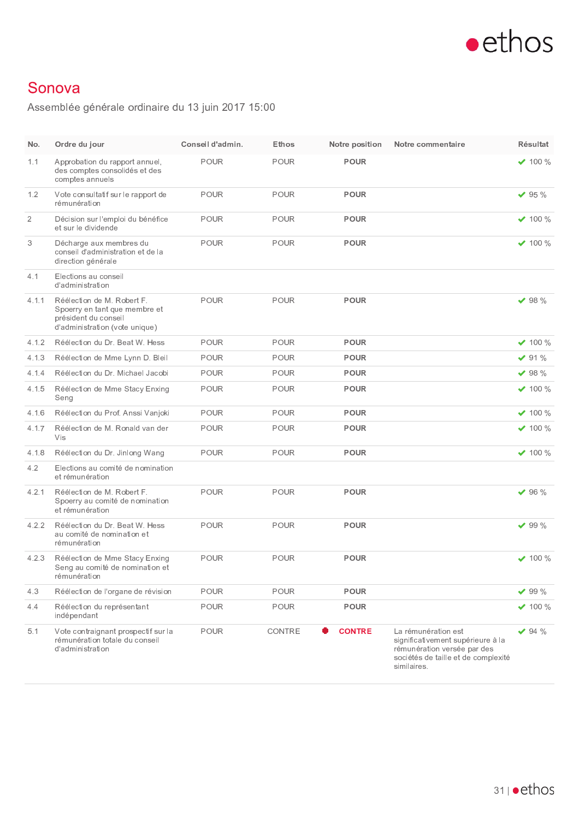

#### Sonova

Assemblée générale ordinaire du 13 juin 2017 15:00

| No.            | Ordre du jour                                                                                                         | Conseil d'admin. | Ethos       | Notre position | Notre commentaire                                                                                                                             | Résultat       |
|----------------|-----------------------------------------------------------------------------------------------------------------------|------------------|-------------|----------------|-----------------------------------------------------------------------------------------------------------------------------------------------|----------------|
| 1.1            | Approbation du rapport annuel,<br>des comptes consolidés et des<br>comptes annuels                                    | POUR             | <b>POUR</b> | <b>POUR</b>    |                                                                                                                                               | $\times$ 100 % |
| 1.2            | Vote consultatif sur le rapport de<br>rémunération                                                                    | POUR             | <b>POUR</b> | <b>POUR</b>    |                                                                                                                                               | $\times$ 95 %  |
| $\overline{2}$ | Décision sur l'emploi du bénéfice<br>et sur le dividende                                                              | POUR             | POUR        | <b>POUR</b>    |                                                                                                                                               | $\times$ 100 % |
| 3              | Décharge aux membres du<br>conseil d'administration et de la<br>direction générale                                    | <b>POUR</b>      | <b>POUR</b> | <b>POUR</b>    |                                                                                                                                               | $\times$ 100 % |
| 4.1            | Elections au conseil<br>d'administration                                                                              |                  |             |                |                                                                                                                                               |                |
| 4.1.1          | Réélection de M. Robert F.<br>Spoerry en tant que membre et<br>président du conseil<br>d'administration (vote unique) | POUR             | POUR        | <b>POUR</b>    |                                                                                                                                               | $\times$ 98 %  |
| 4.1.2          | Réélection du Dr. Beat W. Hess                                                                                        | POUR             | POUR        | <b>POUR</b>    |                                                                                                                                               | $\times$ 100 % |
| 4.1.3          | Réélection de Mme Lynn D. Bleil                                                                                       | <b>POUR</b>      | <b>POUR</b> | <b>POUR</b>    |                                                                                                                                               | $\times$ 91 %  |
| 4.1.4          | Réélection du Dr. Michael Jacobi                                                                                      | <b>POUR</b>      | POUR        | <b>POUR</b>    |                                                                                                                                               | $\times$ 98 %  |
| 4.1.5          | Réélection de Mme Stacy Enxing<br>Seng                                                                                | <b>POUR</b>      | POUR        | <b>POUR</b>    |                                                                                                                                               | $\vee$ 100 %   |
| 4.1.6          | Réélection du Prof. Anssi Vanjoki                                                                                     | <b>POUR</b>      | <b>POUR</b> | <b>POUR</b>    |                                                                                                                                               | $\times$ 100 % |
| 4.1.7          | Réélection de M. Ronald van der<br>Vis                                                                                | <b>POUR</b>      | POUR        | <b>POUR</b>    |                                                                                                                                               | $\times$ 100 % |
| 4.1.8          | Réélection du Dr. Jinlong Wang                                                                                        | <b>POUR</b>      | <b>POUR</b> | <b>POUR</b>    |                                                                                                                                               | $\times$ 100 % |
| 4.2            | Elections au comité de nomination<br>et rémunération                                                                  |                  |             |                |                                                                                                                                               |                |
| 4.2.1          | Réélection de M. Robert F.<br>Spoerry au comité de nomination<br>et rémunération                                      | POUR             | <b>POUR</b> | <b>POUR</b>    |                                                                                                                                               | $\times$ 96 %  |
| 4.2.2          | Réélection du Dr. Beat W. Hess<br>au comité de nomination et<br>rémunération                                          | <b>POUR</b>      | POUR        | <b>POUR</b>    |                                                                                                                                               | $\times$ 99 %  |
| 4.2.3          | Réélection de Mme Stacy Enxing<br>Seng au comité de nomination et<br>rémunération                                     | <b>POUR</b>      | <b>POUR</b> | <b>POUR</b>    |                                                                                                                                               | $\times$ 100 % |
| 4.3            | Réélection de l'organe de révision                                                                                    | <b>POUR</b>      | POUR        | <b>POUR</b>    |                                                                                                                                               | $\times$ 99 %  |
| 4.4            | Réélection du représentant<br>indépendant                                                                             | <b>POUR</b>      | POUR        | <b>POUR</b>    |                                                                                                                                               | $\times$ 100 % |
| 5.1            | Vote contraignant prospectif sur la<br>rémunération totale du conseil<br>d'administration                             | <b>POUR</b>      | CONTRE      | <b>CONTRE</b>  | La rémunération est<br>significativement supérieure à la<br>rémunération versée par des<br>sociétés de taille et de complexité<br>similaires. | $\vee$ 94 %    |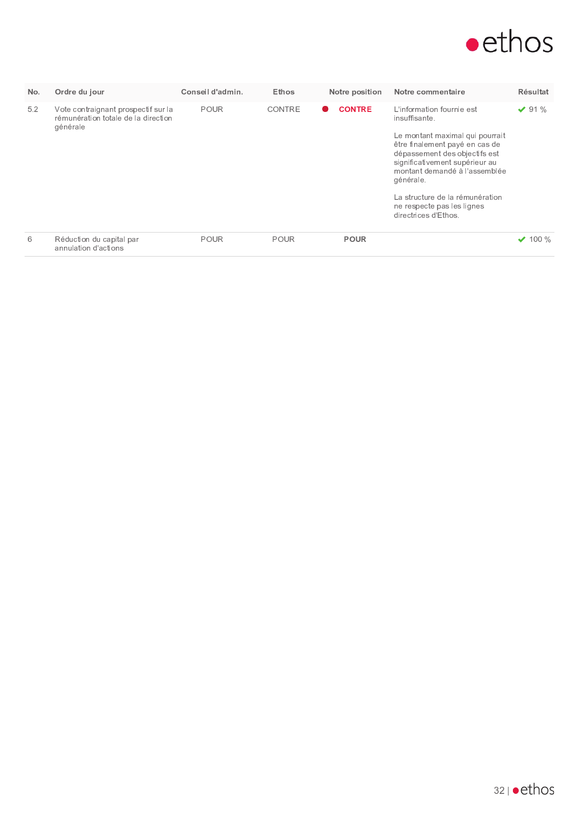

| No. | Ordre du jour                                                                          | Conseil d'admin. | <b>Ethos</b> | Notre position | Notre commentaire                                                                                                                                                                                                                                                                                                         | <b>Résultat</b> |
|-----|----------------------------------------------------------------------------------------|------------------|--------------|----------------|---------------------------------------------------------------------------------------------------------------------------------------------------------------------------------------------------------------------------------------------------------------------------------------------------------------------------|-----------------|
| 5.2 | Vote contraignant prospectif sur la<br>rémunération totale de la direction<br>générale | <b>POUR</b>      | CONTRE       | <b>CONTRE</b>  | L'information fournie est<br>insuffisante.<br>Le montant maximal qui pourrait<br>être finalement payé en cas de<br>dépassement des objectifs est<br>significativement supérieur au<br>montant demandé à l'assemblée<br>générale.<br>La structure de la rémunération<br>ne respecte pas les lignes<br>directrices d'Ethos. | $\vee$ 91 %     |
| 6   | Réduction du capital par<br>annulation d'actions                                       | <b>POUR</b>      | <b>POUR</b>  | <b>POUR</b>    |                                                                                                                                                                                                                                                                                                                           | $100\%$         |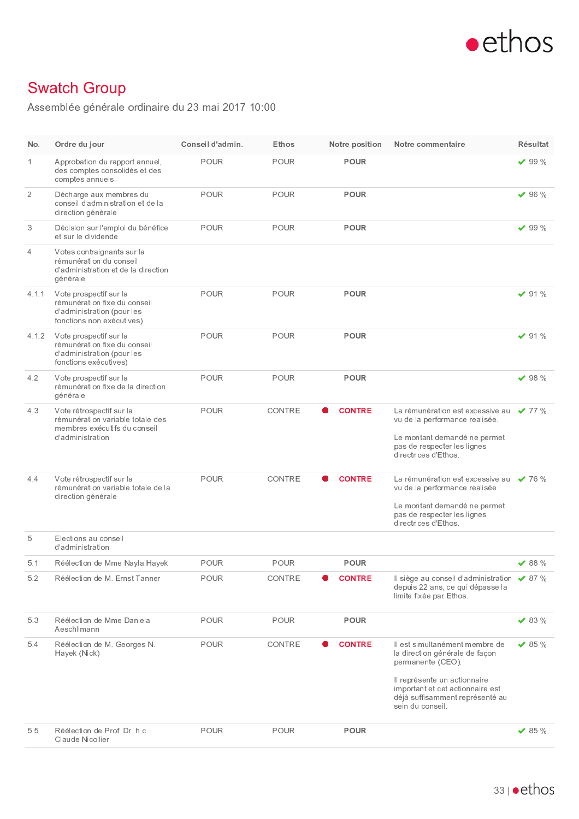

# **Swatch Group**

Assemblée générale ordinaire du 23 mai 2017 10:00

| No.            | Ordre du jour                                                                                                     | Conseil d'admin. | Ethos         | Notre position | Notre commentaire                                                                                                                                                                                                | <b>Résultat</b>    |
|----------------|-------------------------------------------------------------------------------------------------------------------|------------------|---------------|----------------|------------------------------------------------------------------------------------------------------------------------------------------------------------------------------------------------------------------|--------------------|
| 1              | Approbation du rapport annuel,<br>des comptes consolidés et des<br>comptes annuels                                | <b>POUR</b>      | POUR          | <b>POUR</b>    |                                                                                                                                                                                                                  | $\vee$ 99 %        |
| $\overline{2}$ | Décharge aux membres du<br>conseil d'administration et de la<br>direction générale                                | POUR             | POUR          | <b>POUR</b>    |                                                                                                                                                                                                                  | $\vee$ 96 %        |
| 3              | Décision sur l'emploi du bénéfice<br>et sur le dividende                                                          | POUR             | POUR          | <b>POUR</b>    |                                                                                                                                                                                                                  | $\times$ 99 %      |
| 4              | Votes contraignants sur la<br>rémunération du conseil<br>d'administration et de la direction<br>générale          |                  |               |                |                                                                                                                                                                                                                  |                    |
| 4.1.1          | Vote prospectif sur la<br>rémunération fixe du conseil<br>d'administration (pour les<br>fonctions non exécutives) | POUR             | POUR          | <b>POUR</b>    |                                                                                                                                                                                                                  | $\vee$ 91 %        |
| 4.1.2          | Vote prospectif sur la<br>rémunération fixe du conseil<br>d'administration (pour les<br>fonctions exécutives)     | <b>POUR</b>      | POUR          | <b>POUR</b>    |                                                                                                                                                                                                                  | $\times$ 91 %      |
| 4.2            | Vote prospectif sur la<br>rémunération fixe de la direction<br>générale                                           | <b>POUR</b>      | POUR          | <b>POUR</b>    |                                                                                                                                                                                                                  | $\times$ 98 %      |
| 4.3            | Vote rétrospectif sur la<br>rémunération variable totale des<br>membres exécutifs du conseil<br>d'administration  | POUR             | CONTRE        | <b>CONTRE</b>  | La rémunération est excessive au<br>vu de la performance realisée.<br>Le montant demandé ne permet<br>pas de respecter les lignes<br>directrices d'Ethos.                                                        | $\frac{1}{2}$ 77 % |
| 4.4            | Vote rétrospectif sur la<br>rémunération variable totale de la<br>direction générale                              | POUR             | <b>CONTRE</b> | <b>CONTRE</b>  | La rémunération est excessive au<br>vu de la performance realisée.<br>Le montant demandé ne permet<br>pas de respecter les lignes<br>directrices d'Ethos.                                                        | $\times$ 76 %      |
| 5              | Elections au conseil<br>d'administration                                                                          |                  |               |                |                                                                                                                                                                                                                  |                    |
| 5.1            | Réélection de Mme Nayla Hayek                                                                                     | POUR             | POUR          | <b>POUR</b>    |                                                                                                                                                                                                                  | $\times$ 88 %      |
| 5.2            | Réélection de M. Ernst Tanner                                                                                     | <b>POUR</b>      | CONTRE        | <b>CONTRE</b>  | Il siège au conseil d'administration ◆ 87 %<br>depuis 22 ans, ce qui dépasse la<br>limite fixée par Ethos.                                                                                                       |                    |
| 5.3            | Réélection de Mme Daniela<br>Aeschlimann                                                                          | <b>POUR</b>      | POUR          | <b>POUR</b>    |                                                                                                                                                                                                                  | $\times$ 83 %      |
| 5.4            | Réélection de M. Georges N.<br>Hayek (Nick)                                                                       | POUR             | CONTRE        | <b>CONTRE</b>  | Il est simultanément membre de<br>la direction générale de façon<br>permanente (CEO).<br>Il représente un actionnaire<br>important et cet actionnaire est<br>déjà suffisamment représenté au<br>sein du conseil. | $\vee$ 85 %        |
| 5.5            | Réélection de Prof. Dr. h.c.<br>Claude Nicollier                                                                  | <b>POUR</b>      | POUR          | <b>POUR</b>    |                                                                                                                                                                                                                  | $\times$ 85 %      |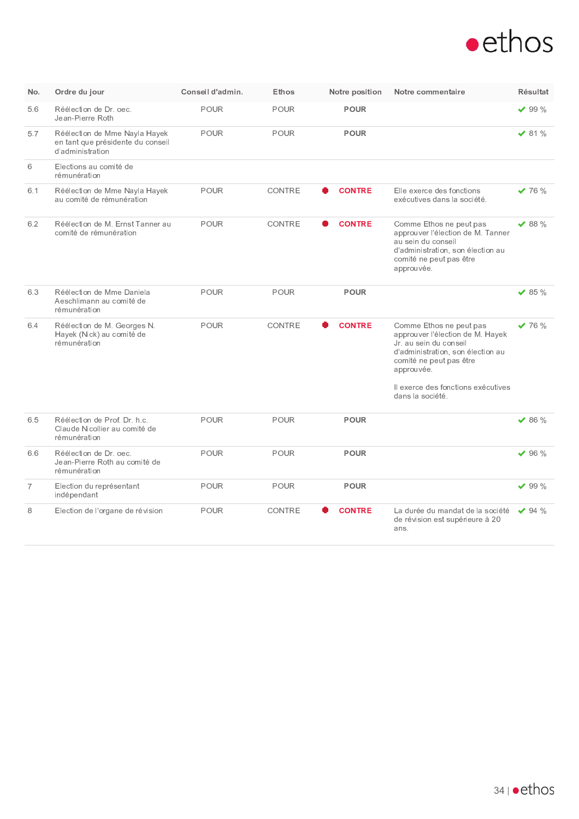

| No.            | Ordre du jour                                                                          | Conseil d'admin. | Ethos         | Notre position     | Notre commentaire                                                                                                                                                   | Résultat      |
|----------------|----------------------------------------------------------------------------------------|------------------|---------------|--------------------|---------------------------------------------------------------------------------------------------------------------------------------------------------------------|---------------|
| 5.6            | Réélection de Dr. oec.<br>Jean-Pierre Roth                                             | <b>POUR</b>      | POUR          | <b>POUR</b>        |                                                                                                                                                                     | $\vee$ 99 %   |
| 5.7            | Réélection de Mme Nayla Hayek<br>en tant que présidente du conseil<br>d'administration | POUR             | POUR          | <b>POUR</b>        |                                                                                                                                                                     | $\times$ 81 % |
| 6              | Elections au comité de<br>rémunération                                                 |                  |               |                    |                                                                                                                                                                     |               |
| 6.1            | Réélection de Mme Nayla Hayek<br>au comité de rémunération                             | <b>POUR</b>      | CONTRE        | <b>CONTRE</b>      | Elle exerce des fonctions<br>exécutives dans la société.                                                                                                            | $\times$ 76 % |
| 6.2            | Réélection de M. Ernst Tanner au<br>comité de rémunération                             | <b>POUR</b>      | CONTRE        | <b>CONTRE</b><br>۰ | Comme Ethos ne peut pas<br>approuver l'élection de M. Tanner<br>au sein du conseil<br>d'administration, son élection au<br>comité ne peut pas être<br>approuvée.    | $\times$ 88 % |
| 6.3            | Réélection de Mme Daniela<br>Aeschlimann au comité de<br>rémunération                  | POUR             | POUR          | <b>POUR</b>        |                                                                                                                                                                     | $\times$ 85 % |
| 6.4            | Réélection de M. Georges N.<br>Hayek (Nick) au comité de<br>rémunération               | <b>POUR</b>      | <b>CONTRE</b> | <b>CONTRE</b>      | Comme Ethos ne peut pas<br>approuver l'élection de M. Hayek<br>Jr. au sein du conseil<br>d'administration, son élection au<br>comité ne peut pas être<br>approuvée. | $\times$ 76 % |
|                |                                                                                        |                  |               |                    | Il exerce des fonctions exécutives<br>dans la société.                                                                                                              |               |
| 6.5            | Réélection de Prof. Dr. h.c.<br>Claude Nicollier au comité de<br>rémunération          | <b>POUR</b>      | POUR          | <b>POUR</b>        |                                                                                                                                                                     | $\times$ 86 % |
| 6.6            | Réélection de Dr. oec.<br>Jean-Pierre Roth au comité de<br>rémunération                | <b>POUR</b>      | POUR          | <b>POUR</b>        |                                                                                                                                                                     | $\times$ 96 % |
| $\overline{7}$ | Election du représentant<br>indépendant                                                | <b>POUR</b>      | POUR          | <b>POUR</b>        |                                                                                                                                                                     | $\vee$ 99 %   |
| 8              | Election de l'organe de révision                                                       | <b>POUR</b>      | CONTRE        | <b>CONTRE</b>      | La durée du mandat de la société<br>de révision est supérieure à 20<br>ans.                                                                                         | $\vee$ 94 %   |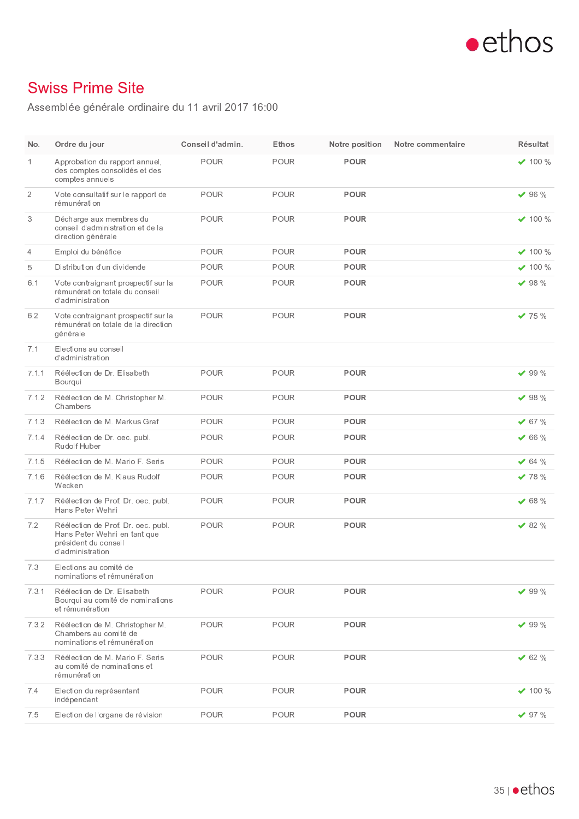

#### **Swiss Prime Site**

Assemblée générale ordinaire du 11 avril 2017 16:00

| No.            | Ordre du jour                                                                                                   | Conseil d'admin. | Ethos       | Notre position | Notre commentaire | Résultat       |
|----------------|-----------------------------------------------------------------------------------------------------------------|------------------|-------------|----------------|-------------------|----------------|
| 1              | Approbation du rapport annuel,<br>des comptes consolidés et des<br>comptes annuels                              | <b>POUR</b>      | <b>POUR</b> | <b>POUR</b>    |                   | $\times$ 100 % |
| $\overline{2}$ | Vote consultatif sur le rapport de<br>rémunération                                                              | <b>POUR</b>      | <b>POUR</b> | <b>POUR</b>    |                   | $\times$ 96 %  |
| 3              | Décharge aux membres du<br>conseil d'administration et de la<br>direction générale                              | <b>POUR</b>      | <b>POUR</b> | <b>POUR</b>    |                   | $\times$ 100 % |
| 4              | Emploi du bénéfice                                                                                              | <b>POUR</b>      | <b>POUR</b> | <b>POUR</b>    |                   | $\times$ 100 % |
| 5              | Distribution d'un dividende                                                                                     | <b>POUR</b>      | <b>POUR</b> | <b>POUR</b>    |                   | $\vee$ 100 %   |
| 6.1            | Vote contraignant prospectif sur la<br>rémunération totale du conseil<br>d'administration                       | <b>POUR</b>      | POUR        | <b>POUR</b>    |                   | $\vee$ 98 %    |
| 6.2            | Vote contraignant prospectif sur la<br>rémunération totale de la direction<br>générale                          | <b>POUR</b>      | <b>POUR</b> | <b>POUR</b>    |                   | $\times$ 75 %  |
| 7.1            | Elections au conseil<br>d'administration                                                                        |                  |             |                |                   |                |
| 7.1.1          | Réélection de Dr. Elisabeth<br>Bourgui                                                                          | <b>POUR</b>      | <b>POUR</b> | <b>POUR</b>    |                   | $\vee$ 99 %    |
| 7.1.2          | Réélection de M. Christopher M.<br>Chambers                                                                     | <b>POUR</b>      | POUR        | <b>POUR</b>    |                   | $\vee$ 98 %    |
| 7.1.3          | Réélection de M. Markus Graf                                                                                    | <b>POUR</b>      | <b>POUR</b> | <b>POUR</b>    |                   | $\times$ 67 %  |
| 7.1.4          | Réélection de Dr. oec. publ.<br>Rudolf Huber                                                                    | <b>POUR</b>      | <b>POUR</b> | <b>POUR</b>    |                   | $\times$ 66 %  |
| 7.1.5          | Réélection de M. Mario F. Seris                                                                                 | <b>POUR</b>      | <b>POUR</b> | <b>POUR</b>    |                   | 64%            |
| 7.1.6          | Réélection de M. Klaus Rudolf<br>Wecken                                                                         | <b>POUR</b>      | POUR        | <b>POUR</b>    |                   | $\times$ 78 %  |
| 7.1.7          | Réélection de Prof. Dr. oec. publ.<br>Hans Peter Wehrli                                                         | <b>POUR</b>      | <b>POUR</b> | <b>POUR</b>    |                   | $\times$ 68 %  |
| 7.2            | Réélection de Prof. Dr. oec. publ.<br>Hans Peter Wehrli en tant que<br>président du conseil<br>d'administration | <b>POUR</b>      | <b>POUR</b> | <b>POUR</b>    |                   | $\times$ 82 %  |
| 7.3            | Elections au comité de<br>nominations et rémunération                                                           |                  |             |                |                   |                |
| 7.3.1          | Réélection de Dr. Elisabeth<br>Bourqui au comité de nominations<br>et rémunération                              | POUR             | POUR        | <b>POUR</b>    |                   | $\times$ 99 %  |
| 7.3.2          | Réélection de M. Christopher M.<br>Chambers au comité de<br>nominations et rémunération                         | POUR             | <b>POUR</b> | <b>POUR</b>    |                   | $\times$ 99 %  |
| 7.3.3          | Réélection de M. Mario F. Seris<br>au comité de nominations et<br>rémunération                                  | <b>POUR</b>      | <b>POUR</b> | <b>POUR</b>    |                   | $\times$ 62 %  |
| 7.4            | Election du représentant<br>indépendant                                                                         | POUR             | POUR        | <b>POUR</b>    |                   | $\times$ 100 % |
| 7.5            | Election de l'organe de révision                                                                                | POUR             | <b>POUR</b> | <b>POUR</b>    |                   | $\times$ 97 %  |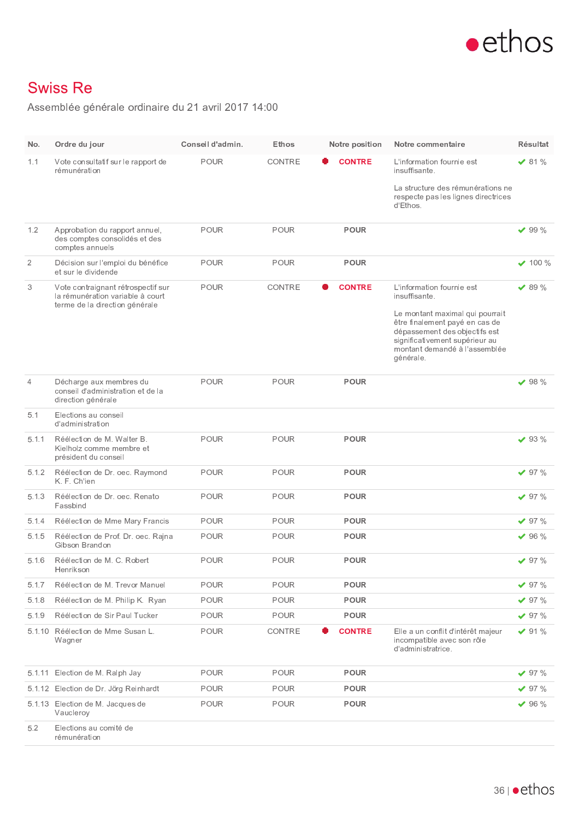

#### **Swiss Re**

Assemblée générale ordinaire du 21 avril 2017 14:00

| No.            | Ordre du jour                                                                                            | Conseil d'admin. | Ethos         | Notre position | Notre commentaire                                                                                                                                                                                                                | <b>Résultat</b> |
|----------------|----------------------------------------------------------------------------------------------------------|------------------|---------------|----------------|----------------------------------------------------------------------------------------------------------------------------------------------------------------------------------------------------------------------------------|-----------------|
| 1.1            | Vote consultatif sur le rapport de<br>rémunération                                                       | <b>POUR</b>      | <b>CONTRE</b> | <b>CONTRE</b>  | L'information fournie est<br>insuffisante.<br>La structure des rémunérations ne<br>respecte pas les lignes directrices<br>d'Ethos.                                                                                               | $\times$ 81 %   |
| 1.2            | Approbation du rapport annuel,<br>des comptes consolidés et des<br>comptes annuels                       | <b>POUR</b>      | POUR          | <b>POUR</b>    |                                                                                                                                                                                                                                  | $\vee$ 99 %     |
| $\overline{2}$ | Décision sur l'emploi du bénéfice<br>et sur le dividende                                                 | <b>POUR</b>      | <b>POUR</b>   | <b>POUR</b>    |                                                                                                                                                                                                                                  | $\times$ 100 %  |
| 3              | Vote contraignant rétrospectif sur<br>la rémunération variable à court<br>terme de la direction générale | <b>POUR</b>      | CONTRE        | <b>CONTRE</b>  | L'information fournie est<br>insuffisante.<br>Le montant maximal qui pourrait<br>être finalement payé en cas de<br>dépassement des objectifs est<br>significativement supérieur au<br>montant demandé à l'assemblée<br>générale. | $\times$ 89 %   |
| $\overline{4}$ | Décharge aux membres du<br>conseil d'administration et de la<br>direction générale                       | <b>POUR</b>      | POUR          | <b>POUR</b>    |                                                                                                                                                                                                                                  | $\vee$ 98 %     |
| 5.1            | Elections au conseil<br>d'administration                                                                 |                  |               |                |                                                                                                                                                                                                                                  |                 |
| 5.1.1          | Réélection de M. Walter B.<br>Kielholz comme membre et<br>président du conseil                           | <b>POUR</b>      | POUR          | <b>POUR</b>    |                                                                                                                                                                                                                                  | $\vee$ 93 %     |
| 5.1.2          | Réélection de Dr. oec. Raymond<br>K. F. Ch'ien                                                           | <b>POUR</b>      | POUR          | <b>POUR</b>    |                                                                                                                                                                                                                                  | $\times$ 97 %   |
| 5.1.3          | Réélection de Dr. oec. Renato<br>Fassbind                                                                | <b>POUR</b>      | POUR          | <b>POUR</b>    |                                                                                                                                                                                                                                  | $\vee$ 97 %     |
| 5.1.4          | Réélection de Mme Mary Francis                                                                           | <b>POUR</b>      | POUR          | <b>POUR</b>    |                                                                                                                                                                                                                                  | $\vee$ 97 %     |
| 5.1.5          | Réélection de Prof. Dr. oec. Rajna<br>Gibson Brandon                                                     | POUR             | POUR          | <b>POUR</b>    |                                                                                                                                                                                                                                  | $\times$ 96 %   |
| 5.1.6          | Réélection de M. C. Robert<br>Henrikson                                                                  | <b>POUR</b>      | <b>POUR</b>   | <b>POUR</b>    |                                                                                                                                                                                                                                  | 97%             |
| 5.1.7          | Réélection de M. Trevor Manuel                                                                           | <b>POUR</b>      | POUR          | <b>POUR</b>    |                                                                                                                                                                                                                                  | $\times$ 97 %   |
| 5.1.8          | Réélection de M. Philip K. Ryan                                                                          | POUR             | POUR          | <b>POUR</b>    |                                                                                                                                                                                                                                  | $\times$ 97 %   |
| 5.1.9          | Réélection de Sir Paul Tucker                                                                            | <b>POUR</b>      | POUR          | <b>POUR</b>    |                                                                                                                                                                                                                                  | $\times$ 97 %   |
|                | 5.1.10 Réélection de Mme Susan L.<br>Wagner                                                              | POUR             | CONTRE        | <b>CONTRE</b>  | Elle a un conflit d'intérêt majeur<br>incompatible avec son rôle<br>d'administratrice.                                                                                                                                           | $\times$ 91 %   |
|                | 5.1.11 Election de M. Ralph Jay                                                                          | POUR             | POUR          | <b>POUR</b>    |                                                                                                                                                                                                                                  | $\times$ 97 %   |
|                | 5.1.12 Election de Dr. Jörg Reinhardt                                                                    | <b>POUR</b>      | <b>POUR</b>   | <b>POUR</b>    |                                                                                                                                                                                                                                  | $\times$ 97 %   |
|                | 5.1.13 Election de M. Jacques de<br>Vaucleroy                                                            | POUR             | <b>POUR</b>   | <b>POUR</b>    |                                                                                                                                                                                                                                  | $\times$ 96 %   |
| 5.2            | Elections au comité de<br>rémunération                                                                   |                  |               |                |                                                                                                                                                                                                                                  |                 |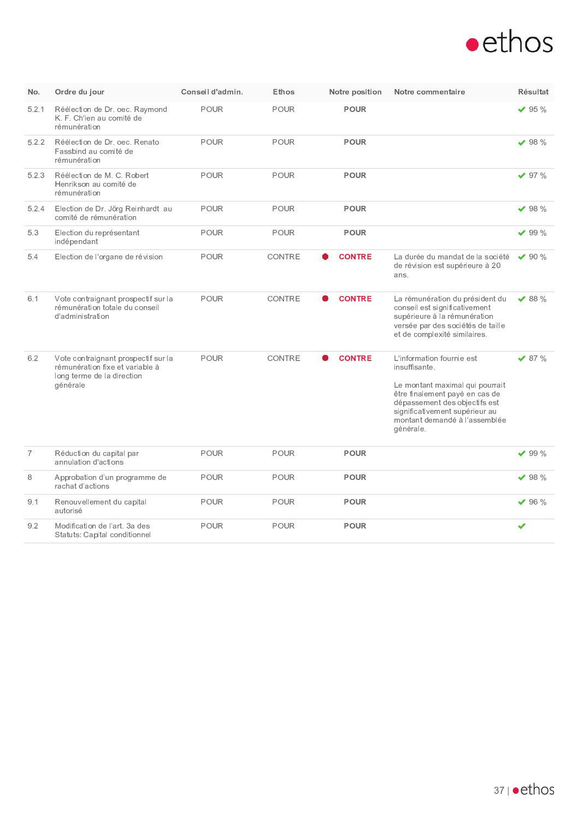

| No.            | Ordre du jour                                                                                                    | Conseil d'admin. | Ethos         | Notre position | Notre commentaire                                                                                                                                                                                                                | Résultat      |
|----------------|------------------------------------------------------------------------------------------------------------------|------------------|---------------|----------------|----------------------------------------------------------------------------------------------------------------------------------------------------------------------------------------------------------------------------------|---------------|
| 5.2.1          | Réélection de Dr. oec. Raymond<br>K. F. Ch'ien au comité de<br>rémunération                                      | <b>POUR</b>      | POUR          | <b>POUR</b>    |                                                                                                                                                                                                                                  | $\times$ 95 % |
| 5.2.2          | Réélection de Dr. oec. Renato<br>Fassbind au comité de<br>rémunération                                           | POUR             | POUR          | POUR           |                                                                                                                                                                                                                                  | $\times$ 98 % |
| 5.2.3          | Réélection de M. C. Robert<br>Henrikson au comité de<br>rémunération                                             | <b>POUR</b>      | POUR          | POUR           |                                                                                                                                                                                                                                  | $\times$ 97 % |
| 5.2.4          | Election de Dr. Jörg Reinhardt au<br>comité de rémunération                                                      | <b>POUR</b>      | POUR          | <b>POUR</b>    |                                                                                                                                                                                                                                  | $\times$ 98 % |
| 5.3            | Election du représentant<br>indépendant                                                                          | <b>POUR</b>      | POUR          | <b>POUR</b>    |                                                                                                                                                                                                                                  | $\times$ 99 % |
| 5.4            | Election de l'organe de révision                                                                                 | <b>POUR</b>      | <b>CONTRE</b> | <b>CONTRE</b>  | La durée du mandat de la société<br>de révision est supérieure à 20<br>ans.                                                                                                                                                      | $\times$ 90 % |
| 6.1            | Vote contraignant prospectif sur la<br>rémunération totale du conseil<br>d'administration                        | <b>POUR</b>      | CONTRE        | <b>CONTRE</b>  | La rémunération du président du<br>conseil est significativement<br>supérieure à la rémunération<br>versée par des sociétés de taille<br>et de complexité similaires.                                                            | $\times$ 88 % |
| 6.2            | Vote contraignant prospectif sur la<br>rémunération fixe et variable à<br>long terme de la direction<br>générale | <b>POUR</b>      | CONTRE        | <b>CONTRE</b>  | L'information fournie est<br>insuffisante.<br>Le montant maximal qui pourrait<br>être finalement payé en cas de<br>dépassement des objectifs est<br>significativement supérieur au<br>montant demandé à l'assemblée<br>générale. | $\times$ 87 % |
| $\overline{7}$ | Réduction du capital par<br>annulation d'actions                                                                 | POUR             | POUR          | POUR           |                                                                                                                                                                                                                                  | $\times$ 99 % |
| 8              | Approbation d'un programme de<br>rachat d'actions                                                                | <b>POUR</b>      | POUR          | <b>POUR</b>    |                                                                                                                                                                                                                                  | $\times$ 98 % |
| 9.1            | Renouvellement du capital<br>autorisé                                                                            | <b>POUR</b>      | POUR          | <b>POUR</b>    |                                                                                                                                                                                                                                  | $\times$ 96 % |
| 9.2            | Modification de l'art. 3a des<br>Statuts: Capital conditionnel                                                   | POUR             | POUR          | <b>POUR</b>    |                                                                                                                                                                                                                                  | ✔             |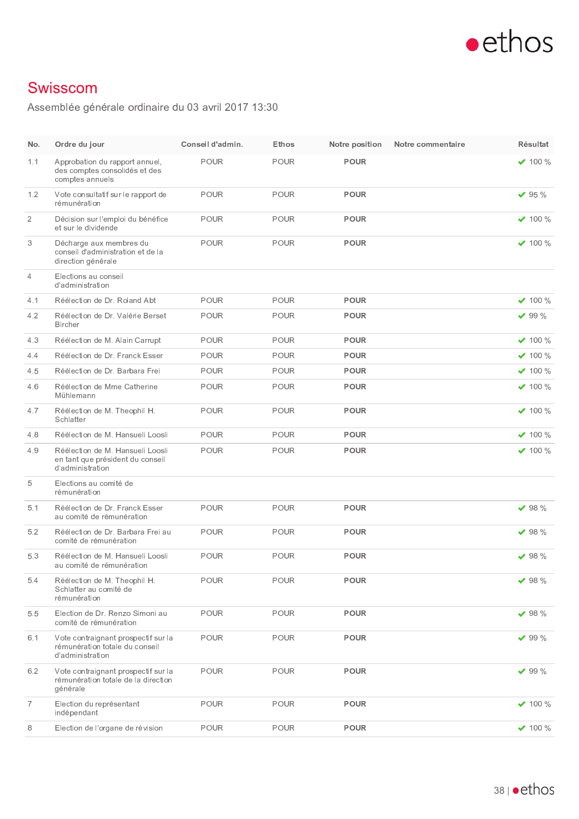

### Swisscom

Assemblée générale ordinaire du 03 avril 2017 13:30

| No.            | Ordre du jour                                                                             | Conseil d'admin. | Ethos       | Notre position | Notre commentaire | Résultat       |
|----------------|-------------------------------------------------------------------------------------------|------------------|-------------|----------------|-------------------|----------------|
| 1.1            | Approbation du rapport annuel,<br>des comptes consolidés et des<br>comptes annuels        | POUR             | POUR        | <b>POUR</b>    |                   | $\times$ 100 % |
| 1.2            | Vote consultatif sur le rapport de<br>rémunération                                        | <b>POUR</b>      | <b>POUR</b> | <b>POUR</b>    |                   | $\vee$ 95 %    |
| $\overline{2}$ | Décision sur l'emploi du bénéfice<br>et sur le dividende                                  | POUR             | POUR        | <b>POUR</b>    |                   | $\times$ 100 % |
| 3              | Décharge aux membres du<br>conseil d'administration et de la<br>direction générale        | POUR             | POUR        | POUR           |                   | $\times$ 100 % |
| 4              | Elections au conseil<br>d'administration                                                  |                  |             |                |                   |                |
| 4.1            | Réélection de Dr. Roland Abt                                                              | <b>POUR</b>      | POUR        | <b>POUR</b>    |                   | $\times$ 100 % |
| 4.2            | Réélection de Dr. Valérie Berset<br><b>Bircher</b>                                        | <b>POUR</b>      | <b>POUR</b> | <b>POUR</b>    |                   | $\vee$ 99 %    |
| 4.3            | Réélection de M. Alain Carrupt                                                            | <b>POUR</b>      | POUR        | <b>POUR</b>    |                   | $\times$ 100 % |
| 4.4            | Réélection de Dr. Franck Esser                                                            | <b>POUR</b>      | POUR        | <b>POUR</b>    |                   | $\times$ 100 % |
| 4.5            | Réélection de Dr. Barbara Frei                                                            | <b>POUR</b>      | <b>POUR</b> | <b>POUR</b>    |                   | $\times$ 100 % |
| 4.6            | Réélection de Mme Catherine<br>Mühlemann                                                  | <b>POUR</b>      | POUR        | <b>POUR</b>    |                   | $\times$ 100 % |
| 4.7            | Réélection de M. Theophil H.<br>Schlatter                                                 | <b>POUR</b>      | POUR        | <b>POUR</b>    |                   | $\times$ 100 % |
| 4.8            | Réélection de M. Hansueli Loosli                                                          | <b>POUR</b>      | POUR        | <b>POUR</b>    |                   | $\times$ 100 % |
| 4.9            | Réélection de M. Hansueli Loosli<br>en tant que président du conseil<br>d'administration  | <b>POUR</b>      | <b>POUR</b> | <b>POUR</b>    |                   | $\times$ 100 % |
| 5              | Elections au comité de<br>rémunération                                                    |                  |             |                |                   |                |
| 5.1            | Réélection de Dr. Franck Esser<br>au comité de rémunération                               | POUR             | POUR        | <b>POUR</b>    |                   | $\times$ 98 %  |
| 5.2            | Réélection de Dr. Barbara Frei au<br>comité de rémunération                               | <b>POUR</b>      | POUR        | <b>POUR</b>    |                   | $\times$ 98 %  |
| 5.3            | Réélection de M. Hansueli Loosli<br>au comité de rémunération                             | <b>POUR</b>      | <b>POUR</b> | <b>POUR</b>    |                   | $\vee$ 98 %    |
| 5.4            | Réélection de M. Theophil H.<br>Schlatter au comité de<br>rémunération                    | POUR             | POUR        | <b>POUR</b>    |                   | $\times$ 98 %  |
| 5.5            | Election de Dr. Renzo Simoni au<br>comité de rémunération                                 | POUR             | POUR        | <b>POUR</b>    |                   | $\times$ 98 %  |
| 6.1            | Vote contraignant prospectif sur la<br>rémunération totale du conseil<br>d'administration | POUR             | <b>POUR</b> | <b>POUR</b>    |                   | $\times$ 99 %  |
| 6.2            | Vote contraignant prospectif sur la<br>rémunération totale de la direction<br>générale    | POUR             | POUR        | <b>POUR</b>    |                   | $\times$ 99 %  |
| $\overline{7}$ | Election du représentant<br>indépendant                                                   | <b>POUR</b>      | POUR        | <b>POUR</b>    |                   | $\times$ 100 % |
| 8              | Election de l'organe de révision                                                          | POUR             | <b>POUR</b> | <b>POUR</b>    |                   | $\times$ 100 % |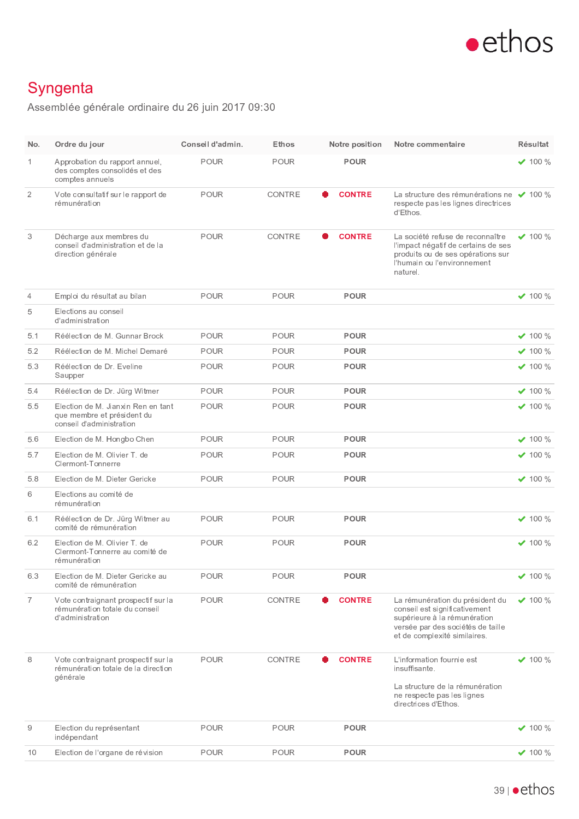

# Syngenta

Assemblée générale ordinaire du 26 juin 2017 09:30

| No.              | Ordre du jour                                                                                | Conseil d'admin. | Ethos       | Notre position | Notre commentaire                                                                                                                                                     | <b>Résultat</b> |
|------------------|----------------------------------------------------------------------------------------------|------------------|-------------|----------------|-----------------------------------------------------------------------------------------------------------------------------------------------------------------------|-----------------|
| $\mathbf{1}$     | Approbation du rapport annuel,<br>des comptes consolidés et des<br>comptes annuels           | <b>POUR</b>      | <b>POUR</b> | <b>POUR</b>    |                                                                                                                                                                       | $\vee$ 100 %    |
| $\overline{2}$   | Vote consultatif sur le rapport de<br>rémunération                                           | POUR             | CONTRE      | <b>CONTRE</b>  | La structure des rémunérations ne ◆ 100 %<br>respecte pas les lignes directrices<br>d'Ethos.                                                                          |                 |
| 3                | Décharge aux membres du<br>conseil d'administration et de la<br>direction générale           | POUR             | CONTRE      | <b>CONTRE</b>  | La société refuse de reconnaître<br>l'impact négatif de certains de ses<br>produits ou de ses opérations sur<br>l'humain ou l'environnement<br>naturel.               | $\times$ 100 %  |
| $\overline{4}$   | Emploi du résultat au bilan                                                                  | <b>POUR</b>      | POUR        | <b>POUR</b>    |                                                                                                                                                                       | $\times$ 100 %  |
| 5                | Elections au conseil<br>d'administration                                                     |                  |             |                |                                                                                                                                                                       |                 |
| 5.1              | Réélection de M. Gunnar Brock                                                                | POUR             | POUR        | <b>POUR</b>    |                                                                                                                                                                       | $\vee$ 100 %    |
| 5.2              | Réélection de M. Michel Demaré                                                               | <b>POUR</b>      | <b>POUR</b> | <b>POUR</b>    |                                                                                                                                                                       | $\vee$ 100 %    |
| 5.3              | Réélection de Dr. Eveline<br>Saupper                                                         | <b>POUR</b>      | <b>POUR</b> | <b>POUR</b>    |                                                                                                                                                                       | $\times$ 100 %  |
| 5.4              | Réélection de Dr. Jürg Witmer                                                                | <b>POUR</b>      | POUR        | <b>POUR</b>    |                                                                                                                                                                       | $\times$ 100 %  |
| 5.5              | Election de M. Jianxin Ren en tant<br>que membre et président du<br>conseil d'administration | <b>POUR</b>      | <b>POUR</b> | <b>POUR</b>    |                                                                                                                                                                       | $\vee$ 100 %    |
| 5.6              | Election de M. Hongbo Chen                                                                   | <b>POUR</b>      | <b>POUR</b> | <b>POUR</b>    |                                                                                                                                                                       | $\times$ 100 %  |
| 5.7              | Election de M. Olivier T. de<br>Clermont-Tonnerre                                            | <b>POUR</b>      | <b>POUR</b> | <b>POUR</b>    |                                                                                                                                                                       | $\times$ 100 %  |
| 5.8              | Election de M. Dieter Gericke                                                                | <b>POUR</b>      | POUR        | <b>POUR</b>    |                                                                                                                                                                       | $\times$ 100 %  |
| 6                | Elections au comité de<br>rémunération                                                       |                  |             |                |                                                                                                                                                                       |                 |
| 6.1              | Réélection de Dr. Jürg Witmer au<br>comité de rémunération                                   | POUR             | POUR        | <b>POUR</b>    |                                                                                                                                                                       | $\times$ 100 %  |
| 6.2              | Election de M. Olivier T. de<br>Clermont-Tonnerre au comité de<br>rémunération               | <b>POUR</b>      | <b>POUR</b> | <b>POUR</b>    |                                                                                                                                                                       | $\times$ 100 %  |
| 6.3              | Election de M. Dieter Gericke au<br>comité de rémunération                                   | <b>POUR</b>      | <b>POUR</b> | <b>POUR</b>    |                                                                                                                                                                       | $\times$ 100 %  |
| $\overline{7}$   | Vote contraignant prospectif sur la<br>rémunération totale du conseil<br>d'administration    | <b>POUR</b>      | CONTRE      | <b>CONTRE</b>  | La rémunération du président du<br>conseil est significativement<br>supérieure à la rémunération<br>versée par des sociétés de taille<br>et de complexité similaires. | $\times$ 100 %  |
| 8                | Vote contraignant prospectif sur la<br>rémunération totale de la direction<br>générale       | <b>POUR</b>      | CONTRE      | <b>CONTRE</b>  | L'information fournie est<br>insuffisante.<br>La structure de la rémunération<br>ne respecte pas les lignes<br>directrices d'Ethos.                                   | $\times$ 100 %  |
| $\boldsymbol{9}$ | Election du représentant<br>indépendant                                                      | <b>POUR</b>      | <b>POUR</b> | <b>POUR</b>    |                                                                                                                                                                       | $\times$ 100 %  |
| 10               | Election de l'organe de révision                                                             | <b>POUR</b>      | <b>POUR</b> | <b>POUR</b>    |                                                                                                                                                                       | $\times$ 100 %  |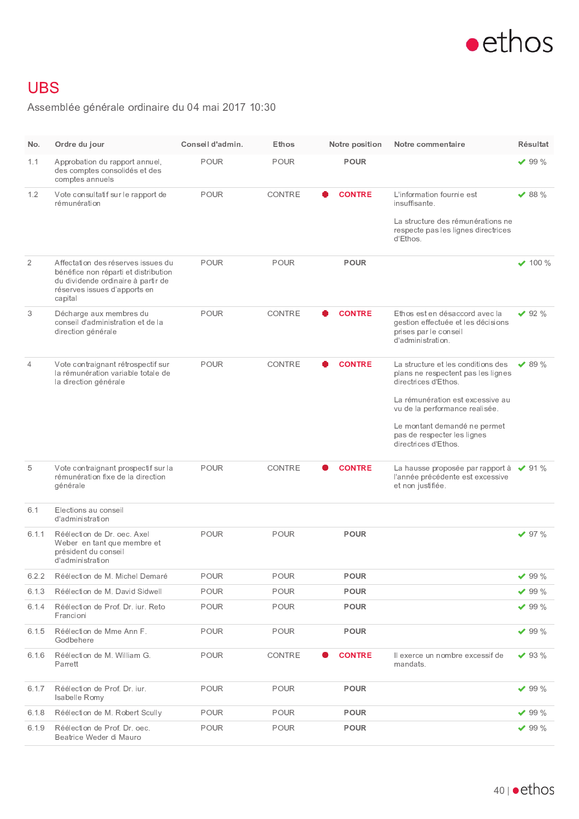

## **UBS**

Assemblée générale ordinaire du 04 mai 2017 10:30

| No.            | Ordre du jour                                                                                                                                               | Conseil d'admin. | Ethos         | Notre position | Notre commentaire                                                                                                                                                      | Résultat      |
|----------------|-------------------------------------------------------------------------------------------------------------------------------------------------------------|------------------|---------------|----------------|------------------------------------------------------------------------------------------------------------------------------------------------------------------------|---------------|
| 1.1            | Approbation du rapport annuel,<br>des comptes consolidés et des<br>comptes annuels                                                                          | <b>POUR</b>      | <b>POUR</b>   | <b>POUR</b>    |                                                                                                                                                                        | $\vee$ 99 %   |
| 1.2            | Vote consultatif sur le rapport de<br>rémunération                                                                                                          | POUR             | <b>CONTRE</b> | <b>CONTRE</b>  | L'information fournie est<br>insuffisante.<br>La structure des rémunérations ne<br>respecte pas les lignes directrices<br>d'Ethos.                                     | $\vee$ 88 %   |
| $\overline{2}$ | Affectation des réserves issues du<br>bénéfice non réparti et distribution<br>du dividende ordinaire à partir de<br>réserves issues d'apports en<br>capital | POUR             | POUR          | <b>POUR</b>    |                                                                                                                                                                        | $\vee$ 100 %  |
| 3              | Décharge aux membres du<br>conseil d'administration et de la<br>direction générale                                                                          | POUR             | CONTRE        | <b>CONTRE</b>  | Ethos est en désaccord avec la<br>gestion effectuée et les décisions<br>prises par le conseil<br>d'administration.                                                     | $\vee$ 92 %   |
| $\overline{4}$ | Vote contraignant rétrospectif sur<br>la rémunération variable totale de<br>la direction générale                                                           | POUR             | CONTRE        | <b>CONTRE</b>  | La structure et les conditions des<br>plans ne respectent pas les lignes<br>directrices d'Ethos.<br>La rémunération est excessive au<br>vu de la performance realisée. | $\vee$ 89 %   |
|                |                                                                                                                                                             |                  |               |                | Le montant demandé ne permet<br>pas de respecter les lignes<br>directrices d'Ethos.                                                                                    |               |
| 5              | Vote contraignant prospectif sur la<br>rémunération fixe de la direction<br>générale                                                                        | <b>POUR</b>      | CONTRE        | <b>CONTRE</b>  | La hausse proposée par rapport à ◆ 91 %<br>l'année précédente est excessive<br>et non justifiée.                                                                       |               |
| 6.1            | Elections au conseil<br>d'administration                                                                                                                    |                  |               |                |                                                                                                                                                                        |               |
| 6.1.1          | Réélection de Dr. oec. Axel<br>Weber en tant que membre et<br>président du conseil<br>d'administration                                                      | <b>POUR</b>      | POUR          | <b>POUR</b>    |                                                                                                                                                                        | $\times$ 97 % |
| 6.2.2          | Réélection de M. Michel Demaré                                                                                                                              | <b>POUR</b>      | POUR          | <b>POUR</b>    |                                                                                                                                                                        | $\times$ 99 % |
| 6.1.3          | Réélection de M. David Sidwell                                                                                                                              | <b>POUR</b>      | POUR          | <b>POUR</b>    |                                                                                                                                                                        | $\vee$ 99 %   |
| 6.1.4          | Réélection de Prof. Dr. iur. Reto<br>Francioni                                                                                                              | <b>POUR</b>      | <b>POUR</b>   | <b>POUR</b>    |                                                                                                                                                                        | $\vee$ 99 %   |
| 6.1.5          | Réélection de Mme Ann F.<br>Godbehere                                                                                                                       | POUR             | POUR          | <b>POUR</b>    |                                                                                                                                                                        | $\times$ 99 % |
| 6.1.6          | Réélection de M. William G.<br>Parrett                                                                                                                      | POUR             | CONTRE        | <b>CONTRE</b>  | Il exerce un nombre excessif de<br>mandats.                                                                                                                            | $\vee$ 93 %   |
| 6.1.7          | Réélection de Prof. Dr. iur.<br>Isabelle Romy                                                                                                               | <b>POUR</b>      | <b>POUR</b>   | <b>POUR</b>    |                                                                                                                                                                        | $\vee$ 99 %   |
| 6.1.8          | Réélection de M. Robert Scully                                                                                                                              | <b>POUR</b>      | <b>POUR</b>   | <b>POUR</b>    |                                                                                                                                                                        | $\vee$ 99 %   |
| 6.1.9          | Réélection de Prof. Dr. oec.<br>Beatrice Weder di Mauro                                                                                                     | <b>POUR</b>      | POUR          | <b>POUR</b>    |                                                                                                                                                                        | $\vee$ 99 %   |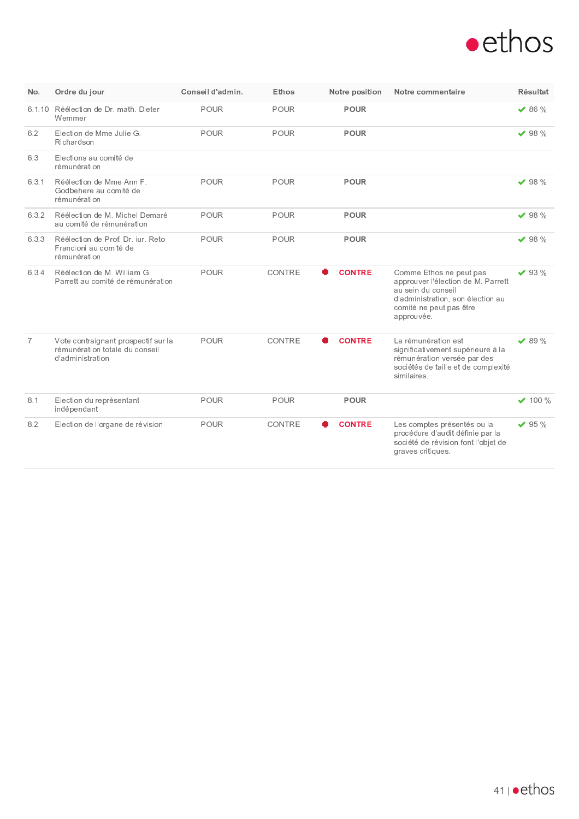

| No.            | Ordre du jour                                                                             | Conseil d'admin. | Ethos  | Notre position | Notre commentaire                                                                                                                                                 | <b>Résultat</b> |
|----------------|-------------------------------------------------------------------------------------------|------------------|--------|----------------|-------------------------------------------------------------------------------------------------------------------------------------------------------------------|-----------------|
|                | 6.1.10 Réélection de Dr. math. Dieter<br>Wemmer                                           | POUR             | POUR   | POUR           |                                                                                                                                                                   | $\times$ 86 %   |
| 6.2            | Election de Mme Julie G.<br>Richardson                                                    | <b>POUR</b>      | POUR   | POUR           |                                                                                                                                                                   | $\times$ 98 %   |
| 6.3            | Elections au comité de<br>rémunération                                                    |                  |        |                |                                                                                                                                                                   |                 |
| 6.3.1          | Réélection de Mme Ann F.<br>Godbehere au comité de<br>rémunération                        | <b>POUR</b>      | POUR   | <b>POUR</b>    |                                                                                                                                                                   | $\vee$ 98 %     |
| 6.3.2          | Réélection de M. Michel Demaré<br>au comité de rémunération                               | POUR             | POUR   | <b>POUR</b>    |                                                                                                                                                                   | $\times$ 98 %   |
| 6.3.3          | Réélection de Prof. Dr. jur. Reto<br>Francioni au comité de<br>rémunération               | POUR             | POUR   | <b>POUR</b>    |                                                                                                                                                                   | $\vee$ 98 %     |
| 6.3.4          | Réélection de M. William G.<br>Parrett au comité de rémunération                          | <b>POUR</b>      | CONTRE | <b>CONTRE</b>  | Comme Ethos ne peut pas<br>approuver l'élection de M. Parrett<br>au sein du conseil<br>d'administration, son élection au<br>comité ne peut pas être<br>approuvée. | $\vee$ 93 %     |
| $\overline{7}$ | Vote contraignant prospectif sur la<br>rémunération totale du conseil<br>d'administration | POUR             | CONTRE | <b>CONTRE</b>  | La rémunération est<br>significativement supérieure à la<br>rémunération versée par des<br>sociétés de taille et de complexité<br>similaires.                     | $\times$ 89 %   |
| 8.1            | Election du représentant<br>indépendant                                                   | POUR             | POUR   | <b>POUR</b>    |                                                                                                                                                                   | $\times$ 100 %  |
| 8.2            | Election de l'organe de révision                                                          | <b>POUR</b>      | CONTRE | <b>CONTRE</b>  | Les comptes présentés ou la<br>procédure d'audit définie par la<br>société de révision font l'objet de<br>graves critiques.                                       | $\vee$ 95 %     |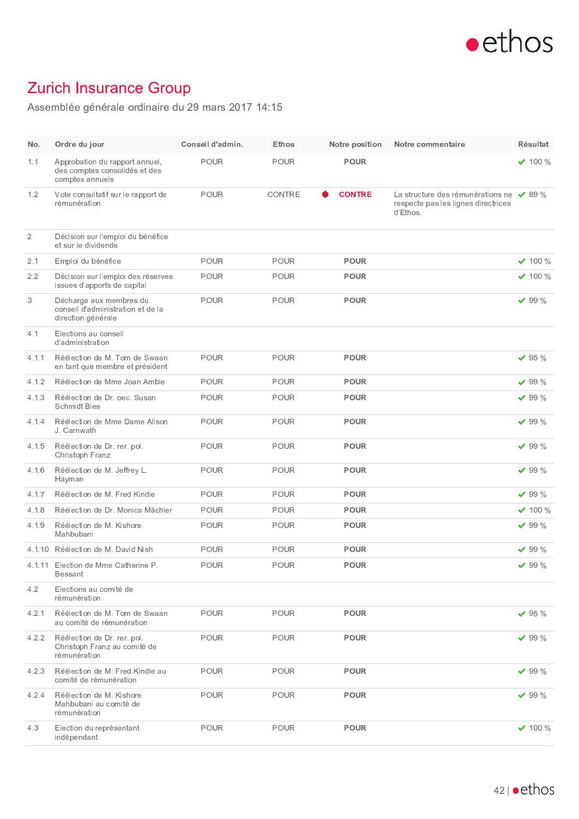

# Zurich Insurance Group

Assemblée générale ordinaire du 29 mars 2017 14:15

| No.            | Ordre du jour                                                                      | Conseil d'admin. | Ethos         | Notre position | Notre commentaire                                                                                  | Résultat       |
|----------------|------------------------------------------------------------------------------------|------------------|---------------|----------------|----------------------------------------------------------------------------------------------------|----------------|
| 1.1            | Approbation du rapport annuel,<br>des comptes consolidés et des<br>comptes annuels | <b>POUR</b>      | POUR          | <b>POUR</b>    |                                                                                                    | $\vee$ 100 %   |
| 1.2            | Vote consultatif sur le rapport de<br>rémunération                                 | <b>POUR</b>      | <b>CONTRE</b> | <b>CONTRE</b>  | La structure des rémunérations ne $\sqrt{89\%}$<br>respecte pas les lignes directrices<br>d'Ethos. |                |
| $\overline{2}$ | Décision sur l'emploi du bénéfice<br>et sur le dividende                           |                  |               |                |                                                                                                    |                |
| 2.1            | Emploi du bénéfice                                                                 | POUR             | POUR          | <b>POUR</b>    |                                                                                                    | $\times$ 100 % |
| 2.2            | Décision sur l'emploi des réserves<br>issues d'apports de capital                  | POUR             | <b>POUR</b>   | <b>POUR</b>    |                                                                                                    | $\vee$ 100 %   |
| 3              | Décharge aux membres du<br>conseil d'administration et de la<br>direction générale | <b>POUR</b>      | POUR          | <b>POUR</b>    |                                                                                                    | $\times$ 99 %  |
| 4.1            | Elections au conseil<br>d'administration                                           |                  |               |                |                                                                                                    |                |
| 4.1.1          | Réélection de M. Tom de Swaan<br>en tant que membre et président                   | <b>POUR</b>      | POUR          | <b>POUR</b>    |                                                                                                    | $\vee$ 95 %    |
| 4.1.2          | Réélection de Mme Joan Amble                                                       | <b>POUR</b>      | POUR          | <b>POUR</b>    |                                                                                                    | $\times$ 99 %  |
| 4.1.3          | Réélection de Dr. oec. Susan<br><b>Schmidt Bies</b>                                | <b>POUR</b>      | POUR          | <b>POUR</b>    |                                                                                                    | $\times$ 99 %  |
| 4.1.4          | Réélection de Mme Dame Alison<br>J. Carnwath                                       | POUR             | POUR          | <b>POUR</b>    |                                                                                                    | $\vee$ 99 %    |
| 4.1.5          | Réélection de Dr. rer. pol.<br>Christoph Franz                                     | <b>POUR</b>      | <b>POUR</b>   | <b>POUR</b>    |                                                                                                    | $\vee$ 99 %    |
| 4.1.6          | Réélection de M. Jeffrey L.<br>Hayman                                              | <b>POUR</b>      | POUR          | <b>POUR</b>    |                                                                                                    | $\vee$ 99 %    |
| 4.1.7          | Réélection de M. Fred Kindle                                                       | <b>POUR</b>      | POUR          | <b>POUR</b>    |                                                                                                    | $\vee$ 99 %    |
| 4.1.8          | Réélection de Dr. Monica Mächler                                                   | POUR             | <b>POUR</b>   | <b>POUR</b>    |                                                                                                    | $\vee$ 100 %   |
| 4.1.9          | Réélection de M. Kishore<br>Mahbubani                                              | <b>POUR</b>      | POUR          | <b>POUR</b>    |                                                                                                    | $\vee$ 99 %    |
|                | 4.1.10 Réélection de M. David Nish                                                 | <b>POUR</b>      | POUR          | <b>POUR</b>    |                                                                                                    | $\vee$ 99 %    |
|                | 4.1.11 Election de Mme Catherine P.<br><b>Bessant</b>                              | <b>POUR</b>      | POUR          | <b>POUR</b>    |                                                                                                    | $\times$ 99 %  |
| 4.2            | Elections au comité de<br>rémunération                                             |                  |               |                |                                                                                                    |                |
| 4.2.1          | Réélection de M. Tom de Swaan<br>au comité de rémunération                         | <b>POUR</b>      | POUR          | <b>POUR</b>    |                                                                                                    | $\times$ 95 %  |
| 4.2.2          | Réélection de Dr. rer. pol.<br>Christoph Franz au comité de<br>rémunération        | POUR             | POUR          | <b>POUR</b>    |                                                                                                    | $\times$ 99 %  |
| 4.2.3          | Réélection de M. Fred Kindle au<br>comité de rémunération                          | POUR             | POUR          | <b>POUR</b>    |                                                                                                    | $\times$ 99 %  |
| 4.2.4          | Réélection de M. Kishore<br>Mahbubani au comité de<br>rémunération                 | <b>POUR</b>      | POUR          | <b>POUR</b>    |                                                                                                    | $\times$ 99 %  |
| 4.3            | Election du représentant<br>indépendant                                            | POUR             | POUR          | <b>POUR</b>    |                                                                                                    | $\times$ 100 % |